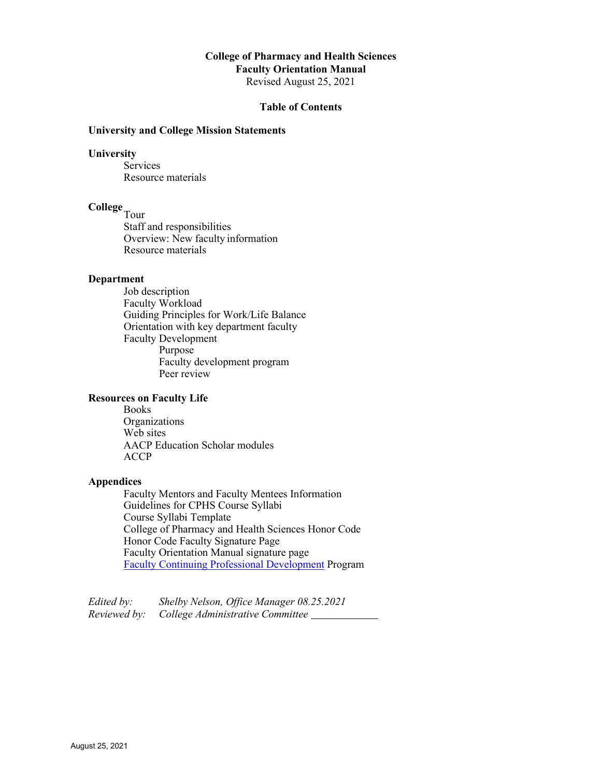# **College of Pharmacy and Health Sciences**

**Faculty Orientation Manual**

Revised August 25, 2021

# **Table of Contents**

# **University and College Mission Statements**

# **University**

**Services** Resource materials

# **College**<sub>Tour</sub>

Staff and responsibilities Overview: New faculty information Resource materials

# **Department**

Job description Faculty Workload Guiding Principles for Work/Life Balance Orientation with key department faculty Faculty Development Purpose Faculty development program Peer review

#### **Resources on Faculty Life**

Books Organizations Web sites AACP Education Scholar modules ACCP

#### **Appendices**

Faculty Mentors and Faculty Mentees Information Guidelines for CPHS Course Syllabi Course Syllabi Template College of Pharmacy and Health Sciences Honor Code Honor Code Faculty Signature Page Faculty Orientation Manual signature page [Faculty Continuing Professional Development](https://teams.microsoft.com/l/file/0E22A8B3-7917-4723-BBCA-C221E4DCF252?tenantId=6f028129-009c-4b33-b633-bbfc58bbd960&fileType=pdf&objectUrl=https%3A%2F%2Fdrakeedu.sharepoint.com%2Fsites%2Facad-cphs%2FShared%20Documents%2FFaculty%20Resources%2FFaculty%20Continuing%20Professional%20Development%20Program_Final_2017update.pdf&baseUrl=https%3A%2F%2Fdrakeedu.sharepoint.com%2Fsites%2Facad-cphs&serviceName=teams&threadId=19%3Ae3289d6fe5314ea297a7d37811710051%40thread.skype&groupId=bb3b5c6e-8cb0-486b-abf8-f358ee474c66) Program

| Edited by:   | Shelby Nelson, Office Manager 08.25.2021 |  |
|--------------|------------------------------------------|--|
| Reviewed by: | College Administrative Committee         |  |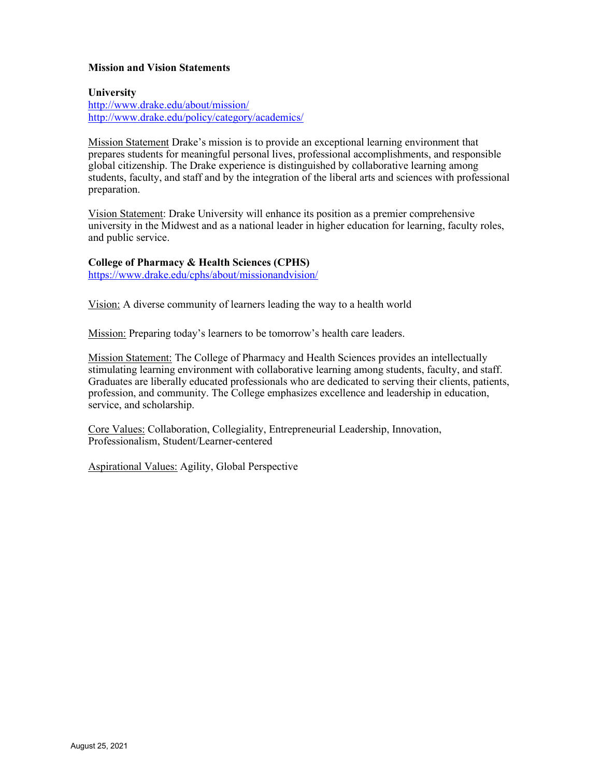# **Mission and Vision Statements**

#### **University**

<http://www.drake.edu/about/mission/> <http://www.drake.edu/policy/category/academics/>

Mission Statement Drake's mission is to provide an exceptional learning environment that prepares students for meaningful personal lives, professional accomplishments, and responsible global citizenship. The Drake experience is distinguished by collaborative learning among students, faculty, and staff and by the integration of the liberal arts and sciences with professional preparation.

Vision Statement: Drake University will enhance its position as a premier comprehensive university in the Midwest and as a national leader in higher education for learning, faculty roles, and public service.

#### **College of Pharmacy & Health Sciences (CPHS)**

<https://www.drake.edu/cphs/about/missionandvision/>

Vision: A diverse community of learners leading the way to a health world

Mission: Preparing today's learners to be tomorrow's health care leaders.

Mission Statement: The College of Pharmacy and Health Sciences provides an intellectually stimulating learning environment with collaborative learning among students, faculty, and staff. Graduates are liberally educated professionals who are dedicated to serving their clients, patients, profession, and community. The College emphasizes excellence and leadership in education, service, and scholarship.

Core Values: Collaboration, Collegiality, Entrepreneurial Leadership, Innovation, Professionalism, Student/Learner-centered

Aspirational Values: Agility, Global Perspective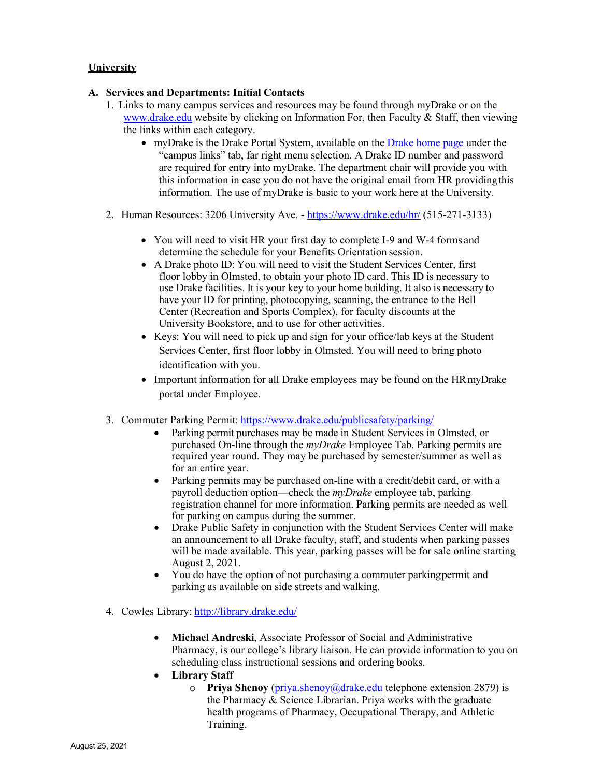# **University**

# **A. Services and Departments: Initial Contacts**

- 1. Links to many campus services and resources may be found through myDrake or on the [www.drake.edu](http://www.drake.edu/) website by clicking on Information For, then Faculty & Staff, then viewing the links within each category.
	- myDrake is the Drake Portal System, available on the [Drake home page](https://www.drake.edu/) under the "campus links" tab, far right menu selection. A Drake ID number and password are required for entry into myDrake. The department chair will provide you with this information in case you do not have the original email from HR providingthis information. The use of myDrake is basic to your work here at the University.
- 2. Human Resources: 3206 University Ave. <https://www.drake.edu/hr/> (515-271-3133)
	- You will need to visit HR your first day to complete I-9 and W-4 forms and determine the schedule for your Benefits Orientation session.
	- A Drake photo ID: You will need to visit the Student Services Center, first floor lobby in Olmsted, to obtain your photo ID card. This ID is necessary to use Drake facilities. It is your key to your home building. It also is necessary to have your ID for printing, photocopying, scanning, the entrance to the Bell Center (Recreation and Sports Complex), for faculty discounts at the University Bookstore, and to use for other activities.
	- Keys: You will need to pick up and sign for your office/lab keys at the Student Services Center, first floor lobby in Olmsted. You will need to bring photo identification with you.
	- Important information for all Drake employees may be found on the HR myDrake portal under Employee.
- 3. Commuter Parking Permit: <https://www.drake.edu/publicsafety/parking/>
	- Parking permit purchases may be made in Student Services in Olmsted, or purchased On-line through the *myDrake* Employee Tab. Parking permits are required year round. They may be purchased by semester/summer as well as for an entire year.
	- Parking permits may be purchased on-line with a credit/debit card, or with a payroll deduction option—check the *myDrake* employee tab, parking registration channel for more information. Parking permits are needed as well for parking on campus during the summer.
	- Drake Public Safety in conjunction with the Student Services Center will make an announcement to all Drake faculty, staff, and students when parking passes will be made available. This year, parking passes will be for sale online starting August 2, 2021.
	- You do have the option of not purchasing a commuter parkingpermit and parking as available on side streets and walking.
- 4. Cowles Library: <http://library.drake.edu/>
	- **Michael Andreski**, Associate Professor of Social and Administrative Pharmacy, is our college's library liaison. He can provide information to you on scheduling class instructional sessions and ordering books.
	- **Library Staff**
		- o **Priya Shenoy** [\(priya.shenoy@drake.edu](mailto:priya.shenoy@drake.edu) telephone extension 2879) is the Pharmacy & Science Librarian. Priya works with the graduate health programs of Pharmacy, Occupational Therapy, and Athletic Training.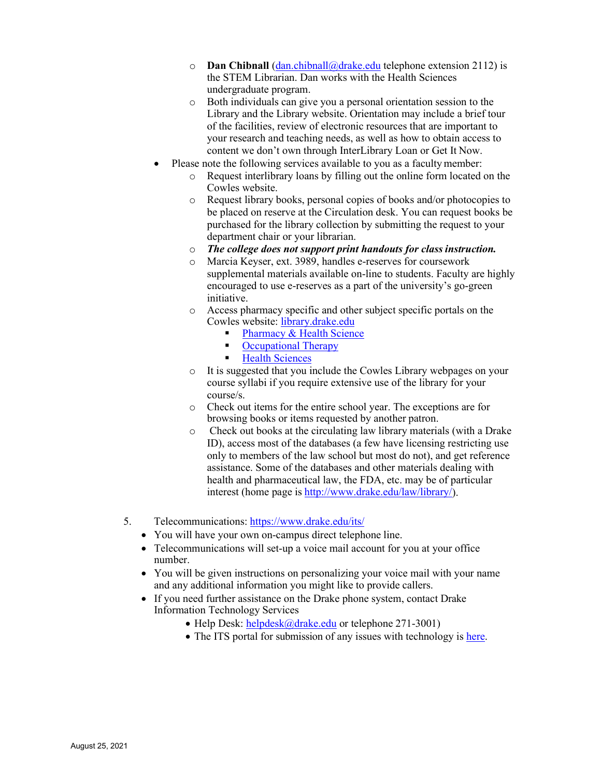- o **Dan Chibnall** [\(dan.chibnall@drake.edu](mailto:dan.chibnall@drake.edu) telephone extension 2112) is the STEM Librarian. Dan works with the Health Sciences undergraduate program.
- o Both individuals can give you a personal orientation session to the Library and the Library website. Orientation may include a brief tour of the facilities, review of electronic resources that are important to your research and teaching needs, as well as how to obtain access to content we don't own through InterLibrary Loan or Get It Now.
- Please note the following services available to you as a faculty member:
	- o Request interlibrary loans by filling out the online form located on the Cowles website.
	- o Request library books, personal copies of books and/or photocopies to be placed on reserve at the Circulation desk. You can request books be purchased for the library collection by submitting the request to your department chair or your librarian.
	- o *The college does not support print handouts for class instruction.*
	- o Marcia Keyser, ext. 3989, handles e-reserves for coursework supplemental materials available on-line to students. Faculty are highly encouraged to use e-reserves as a part of the university's go-green initiative.
	- o Access pharmacy specific and other subject specific portals on the Cowles website: [library.drake.edu](http://library.drake.edu/)
		- **[Pharmacy & Health](http://researchguides.drake.edu/sb.php?subject_id=63818) Science**
		- **Computer [Occupational](http://researchguides.drake.edu/sb.php?subject_id=100899) Therapy**
		- **Health [Sciences](http://researchguides.drake.edu/sb.php?subject_id=100899)**
	- o It is suggested that you include the Cowles Library webpages on your course syllabi if you require extensive use of the library for your course/s.
	- o Check out items for the entire school year. The exceptions are for browsing books or items requested by another patron.
	- o Check out books at the circulating law library materials (with a Drake ID), access most of the databases (a few have licensing restricting use only to members of the law school but most do not), and get reference assistance. Some of the databases and other materials dealing with health and pharmaceutical law, the FDA, etc. may be of particular interest (home page is [http://www.drake.edu/law/library/\)](http://www.drake.edu/law/library/).
- 5. Telecommunications: <https://www.drake.edu/its/>
	- You will have your own on-campus direct telephone line.
	- Telecommunications will set-up a voice mail account for you at your office number.
	- You will be given instructions on personalizing your voice mail with your name and any additional information you might like to provide callers.
	- If you need further assistance on the Drake phone system, contact Drake Information Technology Services
		- Help Desk: [helpdesk@drake.edu](mailto:helpdesk@drake.edu) or telephone 271-3001)
		- The ITS portal for submission of any issues with technology is [here.](https://drake.teamdynamix.com/TDClient/2025/Portal/Home/?ID=d31%20b9f42-f0fe-465a-b01e-f093ce0613b8)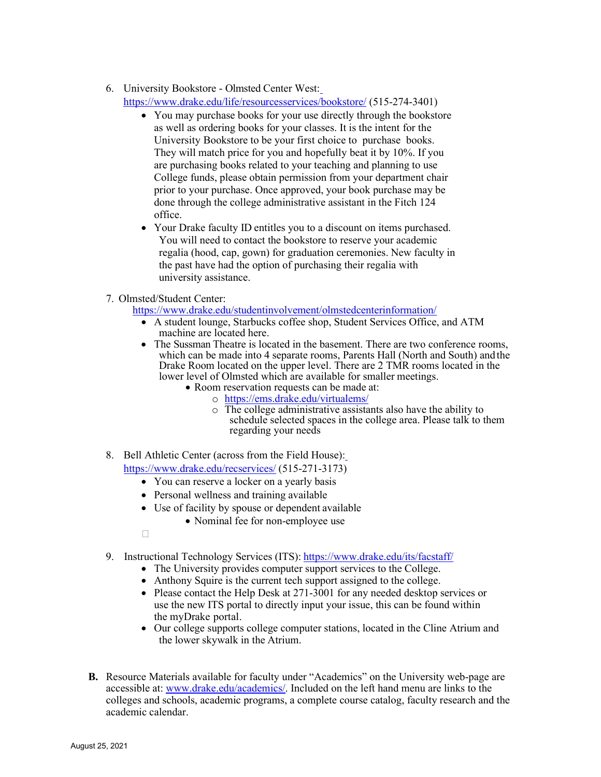# 6. University Bookstore - Olmsted Center West:

<https://www.drake.edu/life/resourcesservices/bookstore/> (515-274-3401)

- You may purchase books for your use directly through the bookstore as well as ordering books for your classes. It is the intent for the University Bookstore to be your first choice to purchase books. They will match price for you and hopefully beat it by 10%. If you are purchasing books related to your teaching and planning to use College funds, please obtain permission from your department chair prior to your purchase. Once approved, your book purchase may be done through the college administrative assistant in the Fitch 124 office.
- Your Drake faculty ID entitles you to a discount on items purchased. You will need to contact the bookstore to reserve your academic regalia (hood, cap, gown) for graduation ceremonies. New faculty in the past have had the option of purchasing their regalia with university assistance.
- 7. Olmsted/Student Center:

<https://www.drake.edu/studentinvolvement/olmstedcenterinformation/>

- A student lounge, Starbucks coffee shop, Student Services Office, and ATM machine are located here.
- The Sussman Theatre is located in the basement. There are two conference rooms, which can be made into 4 separate rooms, Parents Hall (North and South) andthe Drake Room located on the upper level. There are 2 TMR rooms located in the lower level of Olmsted which are available for smaller meetings. • Room reservation requests can be made at:
	- - o <https://ems.drake.edu/virtualems/>
		- $\overline{\circ}$  The college administrative assistants also have the ability to schedule selected spaces in the college area. Please talk to them regarding your needs
- 8. Bell Athletic Center (across from the Field House): <https://www.drake.edu/recservices/> (515-271-3173)
	- You can reserve a locker on a yearly basis
	- Personal wellness and training available
	- Use of facility by spouse or dependent available
		- Nominal fee for non-employee use
	- $\Box$
- 9. Instructional Technology Services (ITS): <https://www.drake.edu/its/facstaff/>
	- The University provides computer support services to the College.
	- Anthony Squire is the current tech support assigned to the college.
	- Please contact the Help Desk at 271-3001 for any needed desktop services or use the new ITS portal to directly input your issue, this can be found within the myDrake portal.
	- Our college supports college computer stations, located in the Cline Atrium and the lower skywalk in the Atrium.
- **B.** Resource Materials available for faculty under "Academics" on the University web-page are accessible at: [www.drake.edu/academics/.](http://www.drake.edu/academics/) Included on the left hand menu are links to the colleges and schools, academic programs, a complete course catalog, faculty research and the academic calendar.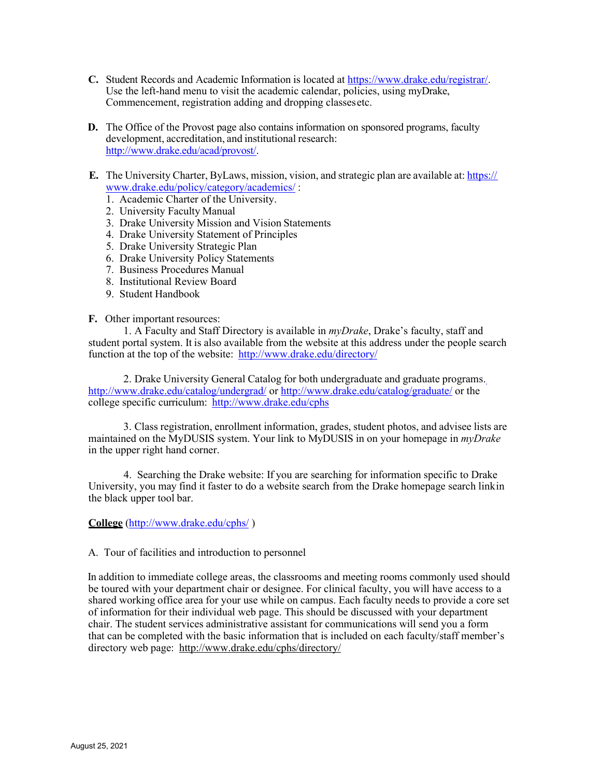- **C.** Student Records and Academic Information is located at [https://www.drake.edu/registrar/.](https://www.drake.edu/registrar/) Use the left-hand menu to visit the academic calendar, policies, using myDrake, Commencement, registration adding and dropping classesetc.
- **D.** The Office of the Provost page also contains information on sponsored programs, faculty development, accreditation, and institutional research: [http://www.drake.edu/acad/provost/.](http://www.drake.edu/acad/provost/)
- **E.** The University Charter, ByLaws, mission, vision, and strategic plan are available at: https:// [www.drake.edu/policy/category/academics/](https://www.drake.edu/policy/category/academics/) :
	- 1. Academic Charter of the University.
	- 2. University Faculty Manual
	- 3. Drake University Mission and Vision Statements
	- 4. Drake University Statement of Principles
	- 5. Drake University Strategic Plan
	- 6. Drake University Policy Statements
	- 7. Business Procedures Manual
	- 8. Institutional Review Board
	- 9. Student Handbook

#### **F.** Other important resources:

1. A Faculty and Staff Directory is available in *myDrake*, Drake's faculty, staff and student portal system. It is also available from the website at this address under the people search function at the top of the website: <http://www.drake.edu/directory/>

2. Drake University General Catalog for both undergraduate and graduate programs. <http://www.drake.edu/catalog/undergrad/> or <http://www.drake.edu/catalog/graduate/> or the college specific curriculum: <http://www.drake.edu/cphs>

3. Class registration, enrollment information, grades, student photos, and advisee lists are maintained on the MyDUSIS system. Your link to MyDUSIS in on your homepage in *myDrake*  in the upper right hand corner.

4. Searching the Drake website: If you are searching for information specific to Drake University, you may find it faster to do a website search from the Drake homepage search linkin the black upper tool bar.

# **College** [\(http://www.drake.edu/cphs/](http://www.drake.edu/cphs/) )

#### A. Tour of facilities and introduction to personnel

In addition to immediate college areas, the classrooms and meeting rooms commonly used should be toured with your department chair or designee. For clinical faculty, you will have access to a shared working office area for your use while on campus. Each faculty needs to provide a core set of information for their individual web page. This should be discussed with your department chair. The student services administrative assistant for communications will send you a form that can be completed with the basic information that is included on each faculty/staff member's directory web page: <http://www.drake.edu/cphs/directory/>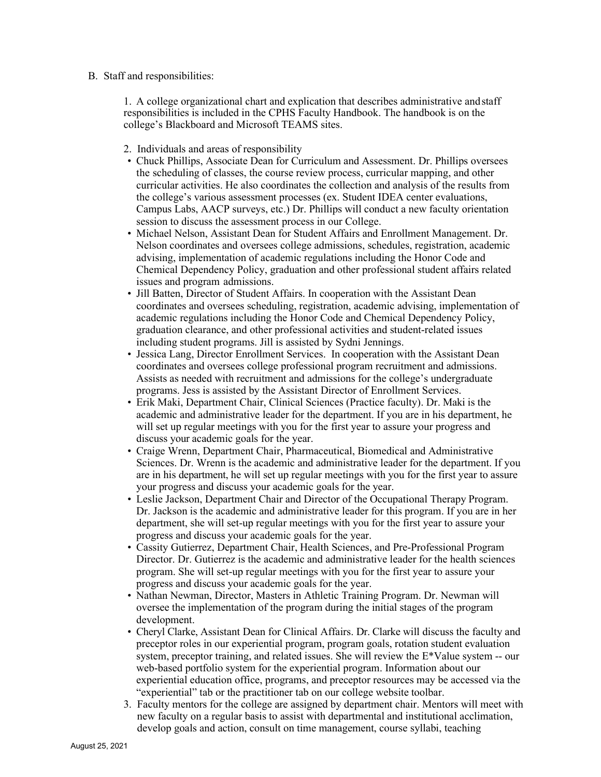# B. Staff and responsibilities:

1. A college organizational chart and explication that describes administrative andstaff responsibilities is included in the CPHS Faculty Handbook. The handbook is on the college's Blackboard and Microsoft TEAMS sites.

- 2. Individuals and areas of responsibility
- Chuck Phillips, Associate Dean for Curriculum and Assessment. Dr. Phillips oversees the scheduling of classes, the course review process, curricular mapping, and other curricular activities. He also coordinates the collection and analysis of the results from the college's various assessment processes (ex. Student IDEA center evaluations, Campus Labs, AACP surveys, etc.) Dr. Phillips will conduct a new faculty orientation session to discuss the assessment process in our College.
- Michael Nelson, Assistant Dean for Student Affairs and Enrollment Management. Dr. Nelson coordinates and oversees college admissions, schedules, registration, academic advising, implementation of academic regulations including the Honor Code and Chemical Dependency Policy, graduation and other professional student affairs related issues and program admissions.
- Jill Batten, Director of Student Affairs. In cooperation with the Assistant Dean coordinates and oversees scheduling, registration, academic advising, implementation of academic regulations including the Honor Code and Chemical Dependency Policy, graduation clearance, and other professional activities and student-related issues including student programs. Jill is assisted by Sydni Jennings.
- Jessica Lang, Director Enrollment Services. In cooperation with the Assistant Dean coordinates and oversees college professional program recruitment and admissions. Assists as needed with recruitment and admissions for the college's undergraduate programs. Jess is assisted by the Assistant Director of Enrollment Services.
- Erik Maki, Department Chair, Clinical Sciences (Practice faculty). Dr. Maki is the academic and administrative leader for the department. If you are in his department, he will set up regular meetings with you for the first year to assure your progress and discuss your academic goals for the year.
- Craige Wrenn, Department Chair, Pharmaceutical, Biomedical and Administrative Sciences. Dr. Wrenn is the academic and administrative leader for the department. If you are in his department, he will set up regular meetings with you for the first year to assure your progress and discuss your academic goals for the year.
- Leslie Jackson, Department Chair and Director of the Occupational Therapy Program. Dr. Jackson is the academic and administrative leader for this program. If you are in her department, she will set-up regular meetings with you for the first year to assure your progress and discuss your academic goals for the year.
- Cassity Gutierrez, Department Chair, Health Sciences, and Pre-Professional Program Director. Dr. Gutierrez is the academic and administrative leader for the health sciences program. She will set-up regular meetings with you for the first year to assure your progress and discuss your academic goals for the year.
- Nathan Newman, Director, Masters in Athletic Training Program. Dr. Newman will oversee the implementation of the program during the initial stages of the program development.
- Cheryl Clarke, Assistant Dean for Clinical Affairs. Dr. Clarke will discuss the faculty and preceptor roles in our experiential program, program goals, rotation student evaluation system, preceptor training, and related issues. She will review the E\*Value system -- our web-based portfolio system for the experiential program. Information about our experiential education office, programs, and preceptor resources may be accessed via the "experiential" tab or the practitioner tab on our college website toolbar.
- 3. Faculty mentors for the college are assigned by department chair. Mentors will meet with new faculty on a regular basis to assist with departmental and institutional acclimation, develop goals and action, consult on time management, course syllabi, teaching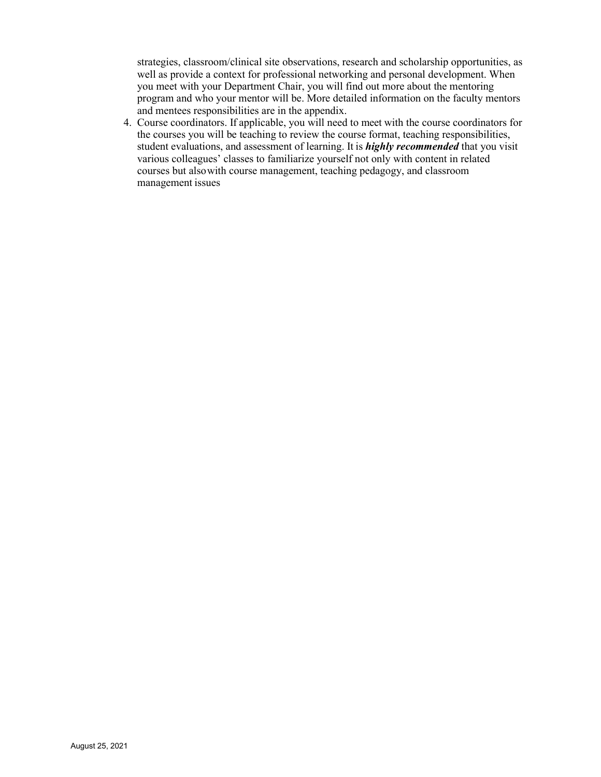strategies, classroom/clinical site observations, research and scholarship opportunities, as well as provide a context for professional networking and personal development. When you meet with your Department Chair, you will find out more about the mentoring program and who your mentor will be. More detailed information on the faculty mentors and mentees responsibilities are in the appendix.

4. Course coordinators. If applicable, you will need to meet with the course coordinators for the courses you will be teaching to review the course format, teaching responsibilities, student evaluations, and assessment of learning. It is *highly recommended* that you visit various colleagues' classes to familiarize yourself not only with content in related courses but alsowith course management, teaching pedagogy, and classroom management issues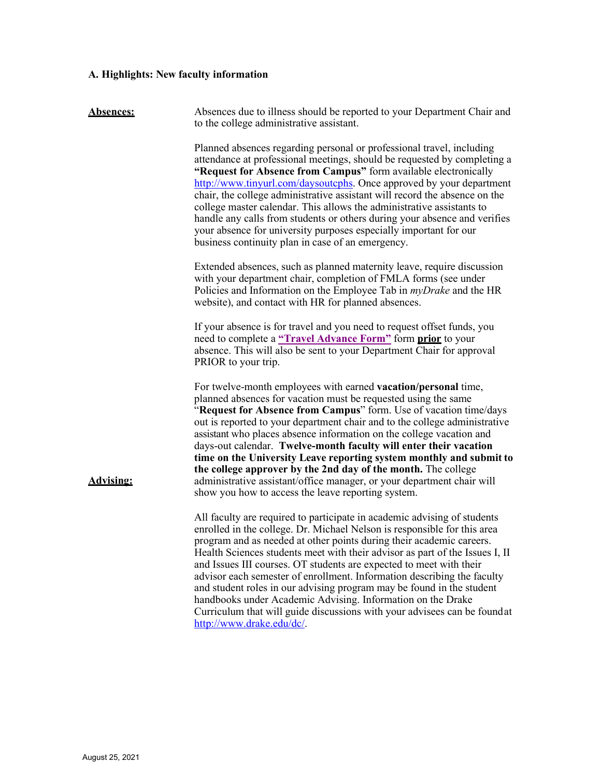# **A. Highlights: New faculty information**

| <b>Absences:</b> | Absences due to illness should be reported to your Department Chair and<br>to the college administrative assistant.                                                                                                                                                                                                                                                                                                                                                                                                                                                                                                                                                                                             |
|------------------|-----------------------------------------------------------------------------------------------------------------------------------------------------------------------------------------------------------------------------------------------------------------------------------------------------------------------------------------------------------------------------------------------------------------------------------------------------------------------------------------------------------------------------------------------------------------------------------------------------------------------------------------------------------------------------------------------------------------|
|                  | Planned absences regarding personal or professional travel, including<br>attendance at professional meetings, should be requested by completing a<br>"Request for Absence from Campus" form available electronically<br>http://www.tinyurl.com/daysoutcphs. Once approved by your department<br>chair, the college administrative assistant will record the absence on the<br>college master calendar. This allows the administrative assistants to<br>handle any calls from students or others during your absence and verifies<br>your absence for university purposes especially important for our<br>business continuity plan in case of an emergency.                                                      |
|                  | Extended absences, such as planned maternity leave, require discussion<br>with your department chair, completion of FMLA forms (see under<br>Policies and Information on the Employee Tab in <i>myDrake</i> and the HR<br>website), and contact with HR for planned absences.                                                                                                                                                                                                                                                                                                                                                                                                                                   |
|                  | If your absence is for travel and you need to request offset funds, you<br>need to complete a "Travel Advance Form" form prior to your<br>absence. This will also be sent to your Department Chair for approval<br>PRIOR to your trip.                                                                                                                                                                                                                                                                                                                                                                                                                                                                          |
| <b>Advising:</b> | For twelve-month employees with earned vacation/personal time,<br>planned absences for vacation must be requested using the same<br>"Request for Absence from Campus" form. Use of vacation time/days<br>out is reported to your department chair and to the college administrative<br>assistant who places absence information on the college vacation and<br>days-out calendar. Twelve-month faculty will enter their vacation<br>time on the University Leave reporting system monthly and submit to<br>the college approver by the 2nd day of the month. The college<br>administrative assistant/office manager, or your department chair will<br>show you how to access the leave reporting system.        |
|                  | All faculty are required to participate in academic advising of students<br>enrolled in the college. Dr. Michael Nelson is responsible for this area<br>program and as needed at other points during their academic careers.<br>Health Sciences students meet with their advisor as part of the Issues I, II<br>and Issues III courses. OT students are expected to meet with their<br>advisor each semester of enrollment. Information describing the faculty<br>and student roles in our advising program may be found in the student<br>handbooks under Academic Advising. Information on the Drake<br>Curriculum that will guide discussions with your advisees can be foundat<br>http://www.drake.edu/dc/. |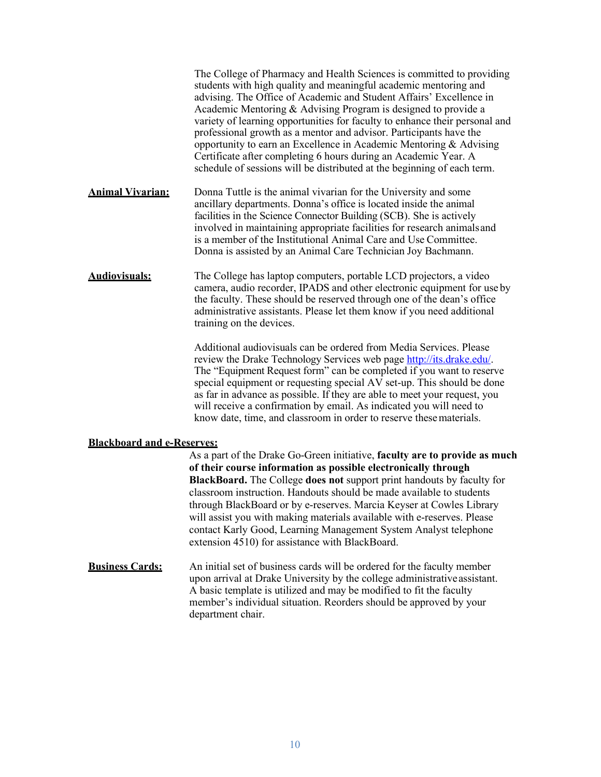The College of Pharmacy and Health Sciences is committed to providing students with high quality and meaningful academic mentoring and advising. The Office of Academic and Student Affairs' Excellence in Academic Mentoring & Advising Program is designed to provide a variety of learning opportunities for faculty to enhance their personal and professional growth as a mentor and advisor. Participants have the opportunity to earn an Excellence in Academic Mentoring & Advising Certificate after completing 6 hours during an Academic Year. A schedule of sessions will be distributed at the beginning of each term. **Animal Vivarian:** Donna Tuttle is the animal vivarian for the University and some ancillary departments. Donna's office is located inside the animal facilities in the Science Connector Building (SCB). She is actively involved in maintaining appropriate facilities for research animalsand is a member of the Institutional Animal Care and Use Committee. Donna is assisted by an Animal Care Technician Joy Bachmann. **Audiovisuals:** The College has laptop computers, portable LCD projectors, a video camera, audio recorder, IPADS and other electronic equipment for use by the faculty. These should be reserved through one of the dean's office administrative assistants. Please let them know if you need additional training on the devices. Additional audiovisuals can be ordered from Media Services. Please

review the Drake Technology Services web page [http://its.drake.edu/.](http://its.drake.edu/) The "Equipment Request form" can be completed if you want to reserve special equipment or requesting special AV set-up. This should be done as far in advance as possible. If they are able to meet your request, you will receive a confirmation by email. As indicated you will need to know date, time, and classroom in order to reserve thesematerials.

#### **Blackboard and e-Reserves:**

As a part of the Drake Go-Green initiative, **faculty are to provide as much of their course information as possible electronically through BlackBoard.** The College **does not** support print handouts by faculty for classroom instruction. Handouts should be made available to students through BlackBoard or by e-reserves. Marcia Keyser at Cowles Library will assist you with making materials available with e-reserves. Please contact Karly Good, Learning Management System Analyst telephone extension 4510) for assistance with BlackBoard.

**Business Cards:** An initial set of business cards will be ordered for the faculty member upon arrival at Drake University by the college administrativeassistant. A basic template is utilized and may be modified to fit the faculty member's individual situation. Reorders should be approved by your department chair.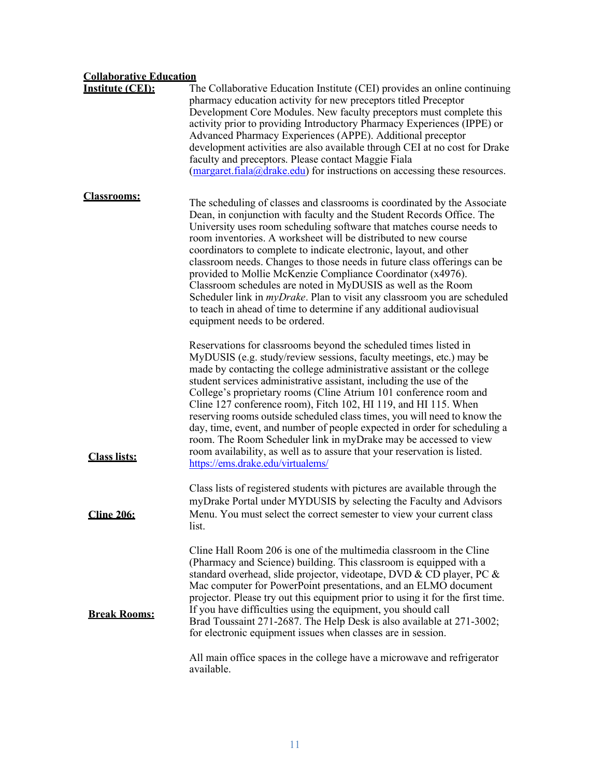# **Collaborative Education**

| <b>Institute (CEI):</b> | The Collaborative Education Institute (CEI) provides an online continuing<br>pharmacy education activity for new preceptors titled Preceptor<br>Development Core Modules. New faculty preceptors must complete this<br>activity prior to providing Introductory Pharmacy Experiences (IPPE) or<br>Advanced Pharmacy Experiences (APPE). Additional preceptor<br>development activities are also available through CEI at no cost for Drake<br>faculty and preceptors. Please contact Maggie Fiala<br>$(\text{margaret}, \text{fiala}(\omega) \text{drake.edu})$ for instructions on accessing these resources.                                                                                                                                                                 |
|-------------------------|--------------------------------------------------------------------------------------------------------------------------------------------------------------------------------------------------------------------------------------------------------------------------------------------------------------------------------------------------------------------------------------------------------------------------------------------------------------------------------------------------------------------------------------------------------------------------------------------------------------------------------------------------------------------------------------------------------------------------------------------------------------------------------|
| <b>Classrooms:</b>      | The scheduling of classes and classrooms is coordinated by the Associate<br>Dean, in conjunction with faculty and the Student Records Office. The<br>University uses room scheduling software that matches course needs to<br>room inventories. A worksheet will be distributed to new course<br>coordinators to complete to indicate electronic, layout, and other<br>classroom needs. Changes to those needs in future class offerings can be<br>provided to Mollie McKenzie Compliance Coordinator (x4976).<br>Classroom schedules are noted in MyDUSIS as well as the Room<br>Scheduler link in <i>myDrake</i> . Plan to visit any classroom you are scheduled<br>to teach in ahead of time to determine if any additional audiovisual<br>equipment needs to be ordered.   |
| <b>Class lists:</b>     | Reservations for classrooms beyond the scheduled times listed in<br>MyDUSIS (e.g. study/review sessions, faculty meetings, etc.) may be<br>made by contacting the college administrative assistant or the college<br>student services administrative assistant, including the use of the<br>College's proprietary rooms (Cline Atrium 101 conference room and<br>Cline 127 conference room), Fitch 102, HI 119, and HI 115. When<br>reserving rooms outside scheduled class times, you will need to know the<br>day, time, event, and number of people expected in order for scheduling a<br>room. The Room Scheduler link in myDrake may be accessed to view<br>room availability, as well as to assure that your reservation is listed.<br>https://ems.drake.edu/virtualems/ |
| <b>Cline 206:</b>       | Class lists of registered students with pictures are available through the<br>myDrake Portal under MYDUSIS by selecting the Faculty and Advisors<br>Menu. You must select the correct semester to view your current class<br>list.                                                                                                                                                                                                                                                                                                                                                                                                                                                                                                                                             |
| <b>Break Rooms:</b>     | Cline Hall Room 206 is one of the multimedia classroom in the Cline<br>(Pharmacy and Science) building. This classroom is equipped with a<br>standard overhead, slide projector, videotape, DVD & CD player, PC &<br>Mac computer for PowerPoint presentations, and an ELMO document<br>projector. Please try out this equipment prior to using it for the first time.<br>If you have difficulties using the equipment, you should call<br>Brad Toussaint 271-2687. The Help Desk is also available at 271-3002;<br>for electronic equipment issues when classes are in session.<br>All main office spaces in the college have a microwave and refrigerator<br>available.                                                                                                      |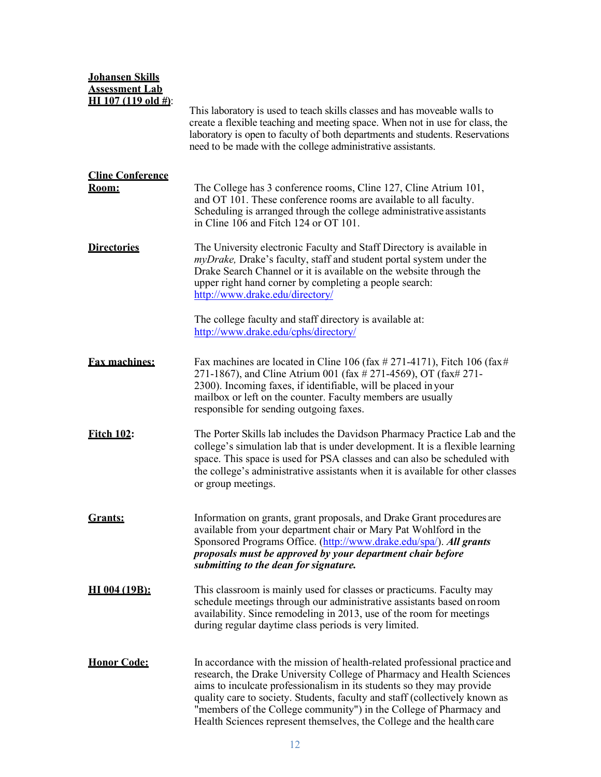| <b>Johansen Skills</b><br><b>Assessment Lab</b><br><b>HI</b> 107 (119 old $#$ ): | This laboratory is used to teach skills classes and has moveable walls to<br>create a flexible teaching and meeting space. When not in use for class, the<br>laboratory is open to faculty of both departments and students. Reservations<br>need to be made with the college administrative assistants.                                                                                                                                                    |
|----------------------------------------------------------------------------------|-------------------------------------------------------------------------------------------------------------------------------------------------------------------------------------------------------------------------------------------------------------------------------------------------------------------------------------------------------------------------------------------------------------------------------------------------------------|
| <b>Cline Conference</b><br>Room:                                                 | The College has 3 conference rooms, Cline 127, Cline Atrium 101,<br>and OT 101. These conference rooms are available to all faculty.<br>Scheduling is arranged through the college administrative assistants<br>in Cline 106 and Fitch 124 or OT 101.                                                                                                                                                                                                       |
| <b>Directories</b>                                                               | The University electronic Faculty and Staff Directory is available in<br>myDrake, Drake's faculty, staff and student portal system under the<br>Drake Search Channel or it is available on the website through the<br>upper right hand corner by completing a people search:<br>http://www.drake.edu/directory/                                                                                                                                             |
|                                                                                  | The college faculty and staff directory is available at:<br>http://www.drake.edu/cphs/directory/                                                                                                                                                                                                                                                                                                                                                            |
| <b>Fax machines:</b>                                                             | Fax machines are located in Cline 106 (fax $\#$ 271-4171), Fitch 106 (fax $\#$<br>271-1867), and Cline Atrium 001 (fax # 271-4569), OT (fax# 271-<br>2300). Incoming faxes, if identifiable, will be placed in your<br>mailbox or left on the counter. Faculty members are usually<br>responsible for sending outgoing faxes.                                                                                                                               |
| <b>Fitch 102:</b>                                                                | The Porter Skills lab includes the Davidson Pharmacy Practice Lab and the<br>college's simulation lab that is under development. It is a flexible learning<br>space. This space is used for PSA classes and can also be scheduled with<br>the college's administrative assistants when it is available for other classes<br>or group meetings.                                                                                                              |
| <b>Grants:</b>                                                                   | Information on grants, grant proposals, and Drake Grant procedures are<br>available from your department chair or Mary Pat Wohlford in the<br>Sponsored Programs Office. (http://www.drake.edu/spa/). All grants<br>proposals must be approved by your department chair before<br>submitting to the dean for signature.                                                                                                                                     |
| HI 004 (19B):                                                                    | This classroom is mainly used for classes or practicums. Faculty may<br>schedule meetings through our administrative assistants based on room<br>availability. Since remodeling in 2013, use of the room for meetings<br>during regular daytime class periods is very limited.                                                                                                                                                                              |
| <b>Honor Code:</b>                                                               | In accordance with the mission of health-related professional practice and<br>research, the Drake University College of Pharmacy and Health Sciences<br>aims to inculcate professionalism in its students so they may provide<br>quality care to society. Students, faculty and staff (collectively known as<br>"members of the College community") in the College of Pharmacy and<br>Health Sciences represent themselves, the College and the health care |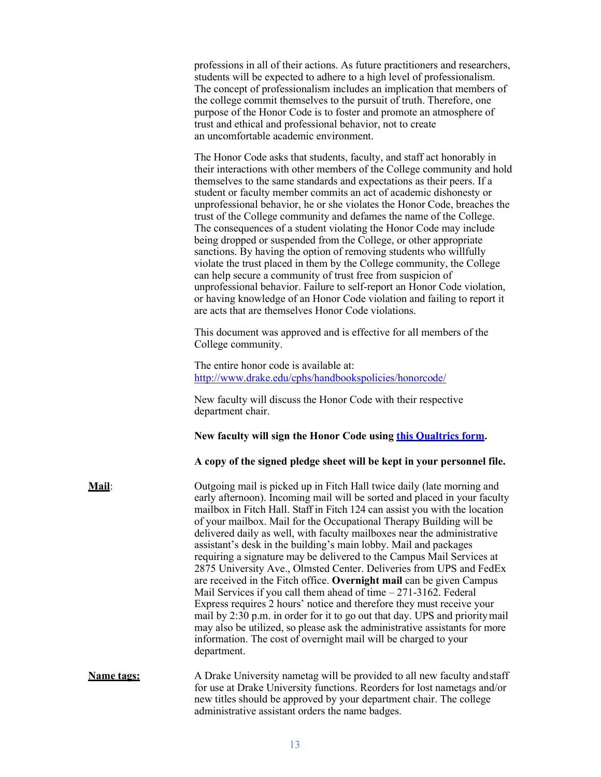professions in all of their actions. As future practitioners and researchers, students will be expected to adhere to a high level of professionalism. The concept of professionalism includes an implication that members of the college commit themselves to the pursuit of truth. Therefore, one purpose of the Honor Code is to foster and promote an atmosphere of trust and ethical and professional behavior, not to create an uncomfortable academic environment.

The Honor Code asks that students, faculty, and staff act honorably in their interactions with other members of the College community and hold themselves to the same standards and expectations as their peers. If a student or faculty member commits an act of academic dishonesty or unprofessional behavior, he or she violates the Honor Code, breaches the trust of the College community and defames the name of the College. The consequences of a student violating the Honor Code may include being dropped or suspended from the College, or other appropriate sanctions. By having the option of removing students who willfully violate the trust placed in them by the College community, the College can help secure a community of trust free from suspicion of unprofessional behavior. Failure to self-report an Honor Code violation, or having knowledge of an Honor Code violation and failing to report it are acts that are themselves Honor Code violations.

This document was approved and is effective for all members of the College community.

The entire honor code is available at: <http://www.drake.edu/cphs/handbookspolicies/honorcode/>

New faculty will discuss the Honor Code with their respective department chair.

**New faculty will sign the Honor Code using [this Qualtrics form.](http://tinyurl.com/CPHSHonorCode)**

**A copy of the signed pledge sheet will be kept in your personnel file.**

**Mail:** Outgoing mail is picked up in Fitch Hall twice daily (late morning and early afternoon). Incoming mail will be sorted and placed in your faculty mailbox in Fitch Hall. Staff in Fitch 124 can assist you with the location of your mailbox. Mail for the Occupational Therapy Building will be delivered daily as well, with faculty mailboxes near the administrative assistant's desk in the building's main lobby. Mail and packages requiring a signature may be delivered to the Campus Mail Services at 2875 University Ave., Olmsted Center. Deliveries from UPS and FedEx are received in the Fitch office. **Overnight mail** can be given Campus Mail Services if you call them ahead of time – 271-3162. Federal Express requires 2 hours' notice and therefore they must receive your mail by 2:30 p.m. in order for it to go out that day. UPS and prioritymail may also be utilized, so please ask the administrative assistants for more information. The cost of overnight mail will be charged to your department.

**Name tags:** A Drake University nametag will be provided to all new faculty and staff for use at Drake University functions. Reorders for lost nametags and/or new titles should be approved by your department chair. The college administrative assistant orders the name badges.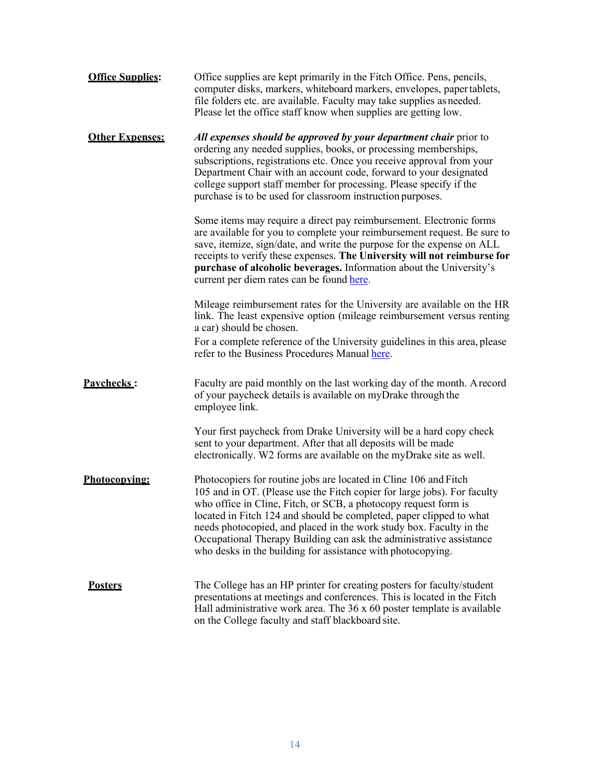| <b>Office Supplies:</b> | Office supplies are kept primarily in the Fitch Office. Pens, pencils,<br>computer disks, markers, whiteboard markers, envelopes, paper tablets,<br>file folders etc. are available. Faculty may take supplies as needed.<br>Please let the office staff know when supplies are getting low.                                                                                                                                                                                                        |
|-------------------------|-----------------------------------------------------------------------------------------------------------------------------------------------------------------------------------------------------------------------------------------------------------------------------------------------------------------------------------------------------------------------------------------------------------------------------------------------------------------------------------------------------|
| <b>Other Expenses:</b>  | All expenses should be approved by your department chair prior to<br>ordering any needed supplies, books, or processing memberships,<br>subscriptions, registrations etc. Once you receive approval from your<br>Department Chair with an account code, forward to your designated<br>college support staff member for processing. Please specify if the<br>purchase is to be used for classroom instruction purposes.                                                                              |
|                         | Some items may require a direct pay reimbursement. Electronic forms<br>are available for you to complete your reimbursement request. Be sure to<br>save, itemize, sign/date, and write the purpose for the expense on ALL<br>receipts to verify these expenses. The University will not reimburse for<br>purchase of alcoholic beverages. Information about the University's<br>current per diem rates can be found here.                                                                           |
|                         | Mileage reimbursement rates for the University are available on the HR<br>link. The least expensive option (mileage reimbursement versus renting<br>a car) should be chosen.<br>For a complete reference of the University guidelines in this area, please<br>refer to the Business Procedures Manual here.                                                                                                                                                                                         |
| Pavchecks:              | Faculty are paid monthly on the last working day of the month. A record<br>of your paycheck details is available on myDrake through the<br>employee link.                                                                                                                                                                                                                                                                                                                                           |
|                         | Your first paycheck from Drake University will be a hard copy check<br>sent to your department. After that all deposits will be made<br>electronically. W2 forms are available on the myDrake site as well.                                                                                                                                                                                                                                                                                         |
| Photocopying:           | Photocopiers for routine jobs are located in Cline 106 and Fitch<br>105 and in OT. (Please use the Fitch copier for large jobs). For faculty<br>who office in Cline, Fitch, or SCB, a photocopy request form is<br>located in Fitch 124 and should be completed, paper clipped to what<br>needs photocopied, and placed in the work study box. Faculty in the<br>Occupational Therapy Building can ask the administrative assistance<br>who desks in the building for assistance with photocopying. |
| <b>Posters</b>          | The College has an HP printer for creating posters for faculty/student<br>presentations at meetings and conferences. This is located in the Fitch<br>Hall administrative work area. The $36 \times 60$ poster template is available<br>on the College faculty and staff blackboard site.                                                                                                                                                                                                            |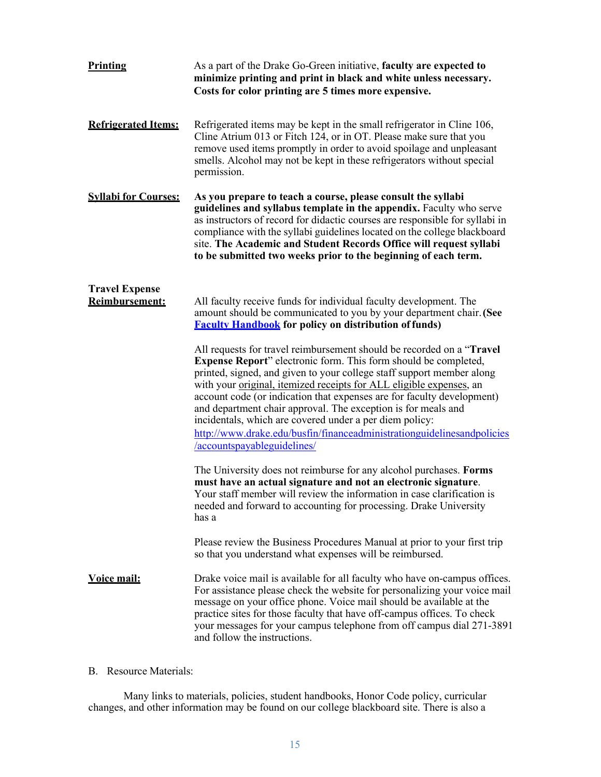| Printing                                       | As a part of the Drake Go-Green initiative, faculty are expected to<br>minimize printing and print in black and white unless necessary.<br>Costs for color printing are 5 times more expensive.                                                                                                                                                                                                                                                                                                                                                                                                                          |
|------------------------------------------------|--------------------------------------------------------------------------------------------------------------------------------------------------------------------------------------------------------------------------------------------------------------------------------------------------------------------------------------------------------------------------------------------------------------------------------------------------------------------------------------------------------------------------------------------------------------------------------------------------------------------------|
| <b>Refrigerated Items:</b>                     | Refrigerated items may be kept in the small refrigerator in Cline 106,<br>Cline Atrium 013 or Fitch 124, or in OT. Please make sure that you<br>remove used items promptly in order to avoid spoilage and unpleasant<br>smells. Alcohol may not be kept in these refrigerators without special<br>permission.                                                                                                                                                                                                                                                                                                            |
| <b>Syllabi for Courses:</b>                    | As you prepare to teach a course, please consult the syllabi<br>guidelines and syllabus template in the appendix. Faculty who serve<br>as instructors of record for didactic courses are responsible for syllabi in<br>compliance with the syllabi guidelines located on the college blackboard<br>site. The Academic and Student Records Office will request syllabi<br>to be submitted two weeks prior to the beginning of each term.                                                                                                                                                                                  |
| <b>Travel Expense</b><br><b>Reimbursement:</b> | All faculty receive funds for individual faculty development. The<br>amount should be communicated to you by your department chair. (See<br><b>Faculty Handbook</b> for policy on distribution of funds)                                                                                                                                                                                                                                                                                                                                                                                                                 |
|                                                | All requests for travel reimbursement should be recorded on a "Travel"<br><b>Expense Report</b> " electronic form. This form should be completed,<br>printed, signed, and given to your college staff support member along<br>with your <u>original</u> , itemized receipts for ALL eligible expenses, an<br>account code (or indication that expenses are for faculty development)<br>and department chair approval. The exception is for meals and<br>incidentals, which are covered under a per diem policy:<br>http://www.drake.edu/busfin/financeadministrationguidelinesandpolicies<br>/accountspayableguidelines/ |
|                                                | The University does not reimburse for any alcohol purchases. Forms<br>must have an actual signature and not an electronic signature.<br>Your staff member will review the information in case clarification is<br>needed and forward to accounting for processing. Drake University<br>has a                                                                                                                                                                                                                                                                                                                             |
|                                                | Please review the Business Procedures Manual at prior to your first trip<br>so that you understand what expenses will be reimbursed.                                                                                                                                                                                                                                                                                                                                                                                                                                                                                     |
| Voice mail:                                    | Drake voice mail is available for all faculty who have on-campus offices.<br>For assistance please check the website for personalizing your voice mail<br>message on your office phone. Voice mail should be available at the<br>practice sites for those faculty that have off-campus offices. To check<br>your messages for your campus telephone from off campus dial 271-3891<br>and follow the instructions.                                                                                                                                                                                                        |

B. Resource Materials:

Many links to materials, policies, student handbooks, Honor Code policy, curricular changes, and other information may be found on our college blackboard site. There is also a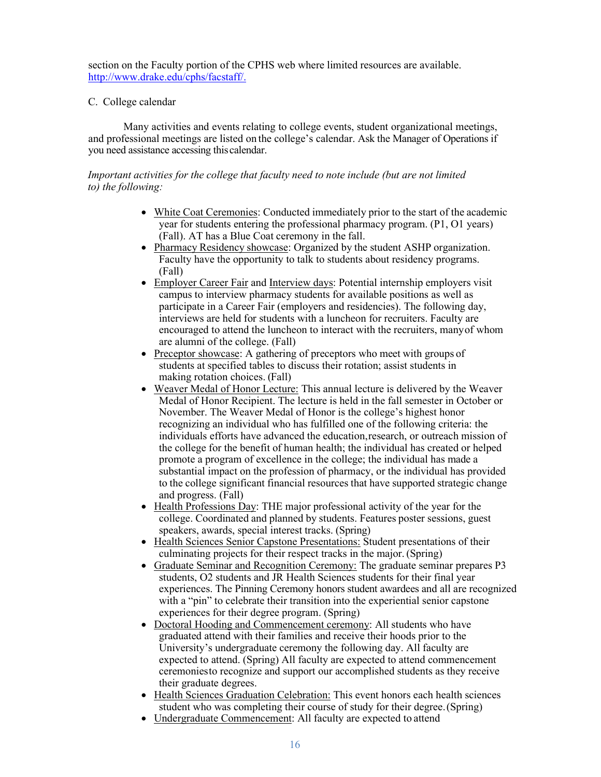section on the Faculty portion of the CPHS web where limited resources are available. [http://www.drake.edu/cphs/facstaff/.](http://www.drake.edu/cphs/facstaff/)

# C. College calendar

Many activities and events relating to college events, student organizational meetings, and professional meetings are listed on the college's calendar. Ask the Manager of Operations if you need assistance accessing thiscalendar.

# *Important activities for the college that faculty need to note include (but are not limited to) the following:*

- White Coat Ceremonies: Conducted immediately prior to the start of the academic year for students entering the professional pharmacy program. (P1, O1 years) (Fall). AT has a Blue Coat ceremony in the fall.
- Pharmacy Residency showcase: Organized by the student ASHP organization. Faculty have the opportunity to talk to students about residency programs. (Fall)
- Employer Career Fair and Interview days: Potential internship employers visit campus to interview pharmacy students for available positions as well as participate in a Career Fair (employers and residencies). The following day, interviews are held for students with a luncheon for recruiters. Faculty are encouraged to attend the luncheon to interact with the recruiters, manyof whom are alumni of the college. (Fall)
- Preceptor showcase: A gathering of preceptors who meet with groups of students at specified tables to discuss their rotation; assist students in making rotation choices. (Fall)
- Weaver Medal of Honor Lecture: This annual lecture is delivered by the Weaver Medal of Honor Recipient. The lecture is held in the fall semester in October or November. The Weaver Medal of Honor is the college's highest honor recognizing an individual who has fulfilled one of the following criteria: the individuals efforts have advanced the education,research, or outreach mission of the college for the benefit of human health; the individual has created or helped promote a program of excellence in the college; the individual has made a substantial impact on the profession of pharmacy, or the individual has provided to the college significant financial resources that have supported strategic change and progress. (Fall)
- Health Professions Day: THE major professional activity of the year for the college. Coordinated and planned by students. Features poster sessions, guest speakers, awards, special interest tracks. (Spring)
- Health Sciences Senior Capstone Presentations: Student presentations of their culminating projects for their respect tracks in the major.(Spring)
- Graduate Seminar and Recognition Ceremony: The graduate seminar prepares P3 students, O2 students and JR Health Sciences students for their final year experiences. The Pinning Ceremony honors student awardees and all are recognized with a "pin" to celebrate their transition into the experiential senior capstone experiences for their degree program. (Spring)
- Doctoral Hooding and Commencement ceremony: All students who have graduated attend with their families and receive their hoods prior to the University's undergraduate ceremony the following day. All faculty are expected to attend. (Spring) All faculty are expected to attend commencement ceremoniesto recognize and support our accomplished students as they receive their graduate degrees.
- Health Sciences Graduation Celebration: This event honors each health sciences student who was completing their course of study for their degree.(Spring)
- Undergraduate Commencement: All faculty are expected to attend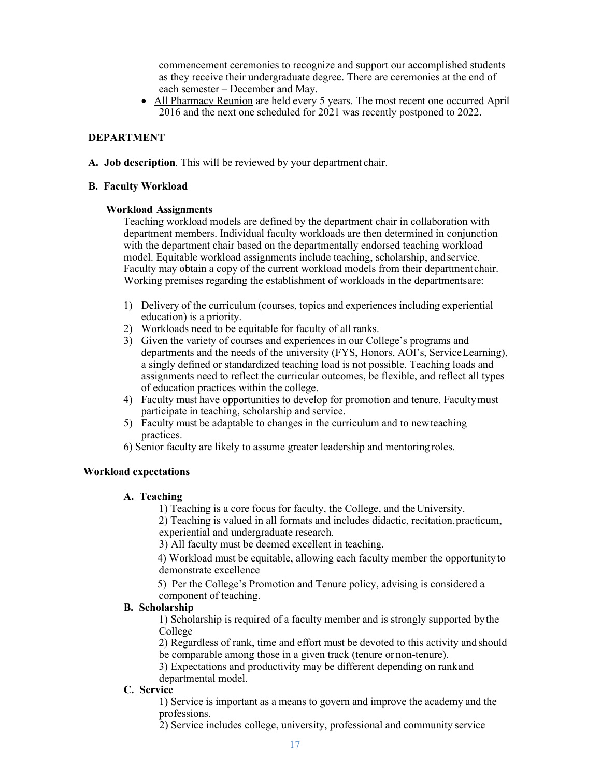commencement ceremonies to recognize and support our accomplished students as they receive their undergraduate degree. There are ceremonies at the end of each semester – December and May.

• All Pharmacy Reunion are held every 5 years. The most recent one occurred April 2016 and the next one scheduled for 2021 was recently postponed to 2022.

# **DEPARTMENT**

**A. Job description**. This will be reviewed by your department chair.

#### **B. Faculty Workload**

#### **Workload Assignments**

Teaching workload models are defined by the department chair in collaboration with department members. Individual faculty workloads are then determined in conjunction with the department chair based on the departmentally endorsed teaching workload model. Equitable workload assignments include teaching, scholarship, andservice. Faculty may obtain a copy of the current workload models from their departmentchair. Working premises regarding the establishment of workloads in the departmentsare:

- 1) Delivery of the curriculum (courses, topics and experiences including experiential education) is a priority.
- 2) Workloads need to be equitable for faculty of all ranks.
- 3) Given the variety of courses and experiences in our College's programs and departments and the needs of the university (FYS, Honors, AOI's, ServiceLearning), a singly defined or standardized teaching load is not possible. Teaching loads and assignments need to reflect the curricular outcomes, be flexible, and reflect all types of education practices within the college.
- 4) Faculty must have opportunities to develop for promotion and tenure. Facultymust participate in teaching, scholarship and service.
- 5) Faculty must be adaptable to changes in the curriculum and to newteaching practices.
- 6) Senior faculty are likely to assume greater leadership and mentoring roles.

#### **Workload expectations**

#### **A. Teaching**

1) Teaching is a core focus for faculty, the College, and theUniversity.

2) Teaching is valued in all formats and includes didactic, recitation,practicum, experiential and undergraduate research.

3) All faculty must be deemed excellent in teaching.

4) Workload must be equitable, allowing each faculty member the opportunityto demonstrate excellence

5) Per the College's Promotion and Tenure policy, advising is considered a component of teaching.

#### **B. Scholarship**

1) Scholarship is required of a faculty member and is strongly supported bythe College

2) Regardless of rank, time and effort must be devoted to this activity andshould be comparable among those in a given track (tenure or non-tenure).

3) Expectations and productivity may be different depending on rankand departmental model.

#### **C. Service**

1) Service is important as a means to govern and improve the academy and the professions.

2) Service includes college, university, professional and community service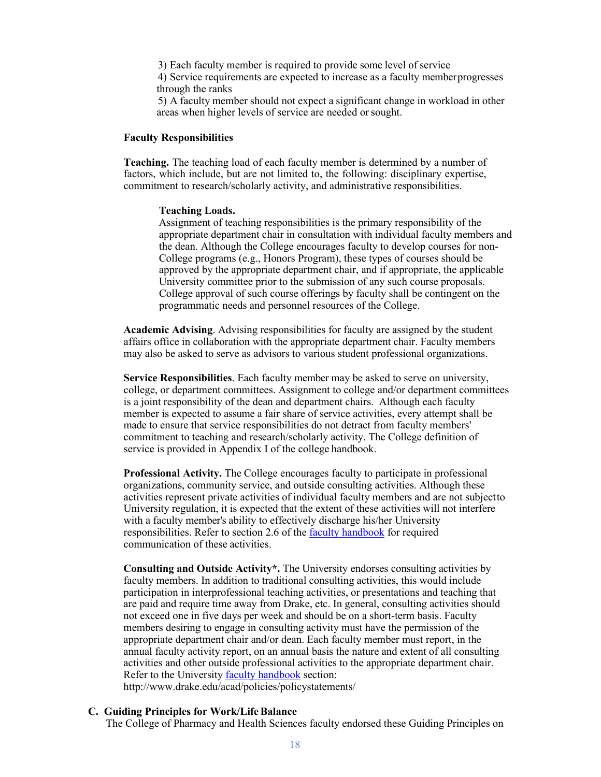3) Each faculty member is required to provide some level of service 4) Service requirements are expected to increase as a faculty memberprogresses through the ranks

5) A faculty member should not expect a significant change in workload in other areas when higher levels of service are needed orsought.

#### **Faculty Responsibilities**

**Teaching.** The teaching load of each faculty member is determined by a number of factors, which include, but are not limited to, the following: disciplinary expertise, commitment to research/scholarly activity, and administrative responsibilities.

#### **Teaching Loads.**

Assignment of teaching responsibilities is the primary responsibility of the appropriate department chair in consultation with individual faculty members and the dean. Although the College encourages faculty to develop courses for non-College programs (e.g., Honors Program), these types of courses should be approved by the appropriate department chair, and if appropriate, the applicable University committee prior to the submission of any such course proposals. College approval of such course offerings by faculty shall be contingent on the programmatic needs and personnel resources of the College.

**Academic Advising**. Advising responsibilities for faculty are assigned by the student affairs office in collaboration with the appropriate department chair. Faculty members may also be asked to serve as advisors to various student professional organizations.

**Service Responsibilities**. Each faculty member may be asked to serve on university, college, or department committees. Assignment to college and/or department committees is a joint responsibility of the dean and department chairs. Although each faculty member is expected to assume a fair share of service activities, every attempt shall be made to ensure that service responsibilities do not detract from faculty members' commitment to teaching and research/scholarly activity. The College definition of service is provided in Appendix I of the college handbook.

**Professional Activity.** The College encourages faculty to participate in professional organizations, community service, and outside consulting activities. Although these activities represent private activities of individual faculty members and are not subjectto University regulation, it is expected that the extent of these activities will not interfere with a faculty member's ability to effectively discharge his/her University responsibilities. Refer to section 2.6 of the [faculty handbook](https://teams.microsoft.com/l/file/40392B7F-19A8-4BE5-A5DA-03438CC15141?tenantId=6f028129-009c-4b33-b633-bbfc58bbd960&fileType=pdf&objectUrl=https%3A%2F%2Fdrakeedu.sharepoint.com%2Fsites%2Facad-cphs%2FShared%20Documents%2FFaculty%20Resources%2F19-20%20Faculty%20Handbook.pdf&baseUrl=https%3A%2F%2Fdrakeedu.sharepoint.com%2Fsites%2Facad-cphs&serviceName=teams&threadId=19%3Ae3289d6fe5314ea297a7d37811710051%40thread.skype&groupId=bb3b5c6e-8cb0-486b-abf8-f358ee474c66) for required communication of these activities.

**Consulting and Outside Activity\*.** The University endorses consulting activities by faculty members. In addition to traditional consulting activities, this would include participation in interprofessional teaching activities, or presentations and teaching that are paid and require time away from Drake, etc. In general, consulting activities should not exceed one in five days per week and should be on a short-term basis. Faculty members desiring to engage in consulting activity must have the permission of the appropriate department chair and/or dean. Each faculty member must report, in the annual faculty activity report, on an annual basis the nature and extent of all consulting activities and other outside professional activities to the appropriate department chair. Refer to the University [faculty handbook](https://teams.microsoft.com/l/file/40392B7F-19A8-4BE5-A5DA-03438CC15141?tenantId=6f028129-009c-4b33-b633-bbfc58bbd960&fileType=pdf&objectUrl=https%3A%2F%2Fdrakeedu.sharepoint.com%2Fsites%2Facad-cphs%2FShared%20Documents%2FFaculty%20Resources%2F19-20%20Faculty%20Handbook.pdf&baseUrl=https%3A%2F%2Fdrakeedu.sharepoint.com%2Fsites%2Facad-cphs&serviceName=teams&threadId=19%3Ae3289d6fe5314ea297a7d37811710051%40thread.skype&groupId=bb3b5c6e-8cb0-486b-abf8-f358ee474c66) section: <http://www.drake.edu/acad/policies/policystatements/>

#### **C. Guiding Principles for Work/LifeBalance**

The College of Pharmacy and Health Sciences faculty endorsed these Guiding Principles on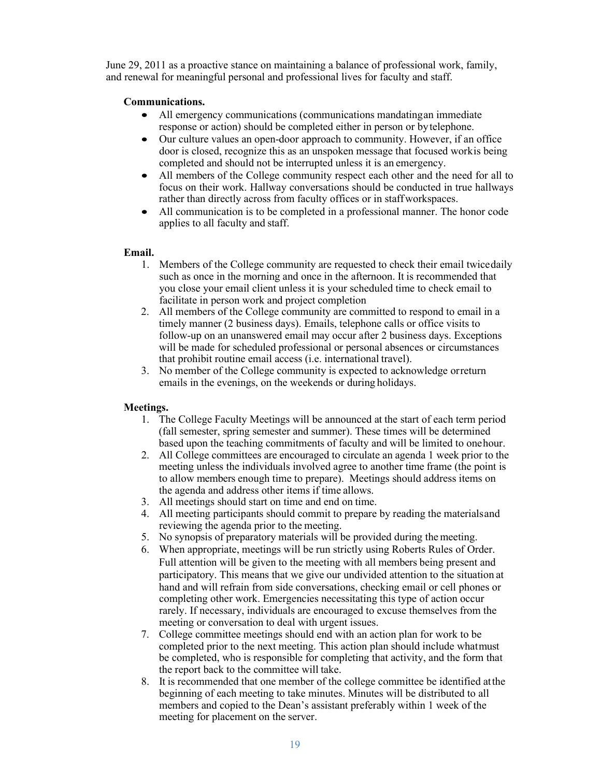June 29, 2011 as a proactive stance on maintaining a balance of professional work, family, and renewal for meaningful personal and professional lives for faculty and staff.

# **Communications.**

- All emergency communications (communications mandatingan immediate response or action) should be completed either in person or bytelephone.
- Our culture values an open-door approach to community. However, if an office door is closed, recognize this as an unspoken message that focused workis being completed and should not be interrupted unless it is an emergency.
- All members of the College community respect each other and the need for all to focus on their work. Hallway conversations should be conducted in true hallways rather than directly across from faculty offices or in staffworkspaces.
- All communication is to be completed in a professional manner. The honor code applies to all faculty and staff.

#### **Email.**

- 1. Members of the College community are requested to check their email twicedaily such as once in the morning and once in the afternoon. It is recommended that you close your email client unless it is your scheduled time to check email to facilitate in person work and project completion
- 2. All members of the College community are committed to respond to email in a timely manner (2 business days). Emails, telephone calls or office visits to follow-up on an unanswered email may occur after 2 business days. Exceptions will be made for scheduled professional or personal absences or circumstances that prohibit routine email access (i.e. international travel).
- 3. No member of the College community is expected to acknowledge orreturn emails in the evenings, on the weekends or during holidays.

# **Meetings.**

- 1. The College Faculty Meetings will be announced at the start of each term period (fall semester, spring semester and summer). These times will be determined based upon the teaching commitments of faculty and will be limited to onehour.
- 2. All College committees are encouraged to circulate an agenda 1 week prior to the meeting unless the individuals involved agree to another time frame (the point is to allow members enough time to prepare). Meetings should address items on the agenda and address other items if time allows.
- 3. All meetings should start on time and end on time.
- 4. All meeting participants should commit to prepare by reading the materialsand reviewing the agenda prior to the meeting.
- 5. No synopsis of preparatory materials will be provided during themeeting.
- 6. When appropriate, meetings will be run strictly using Roberts Rules of Order. Full attention will be given to the meeting with all members being present and participatory. This means that we give our undivided attention to the situation at hand and will refrain from side conversations, checking email or cell phones or completing other work. Emergencies necessitating this type of action occur rarely. If necessary, individuals are encouraged to excuse themselves from the meeting or conversation to deal with urgent issues.
- 7. College committee meetings should end with an action plan for work to be completed prior to the next meeting. This action plan should include whatmust be completed, who is responsible for completing that activity, and the form that the report back to the committee will take.
- 8. It is recommended that one member of the college committee be identified atthe beginning of each meeting to take minutes. Minutes will be distributed to all members and copied to the Dean's assistant preferably within 1 week of the meeting for placement on the server.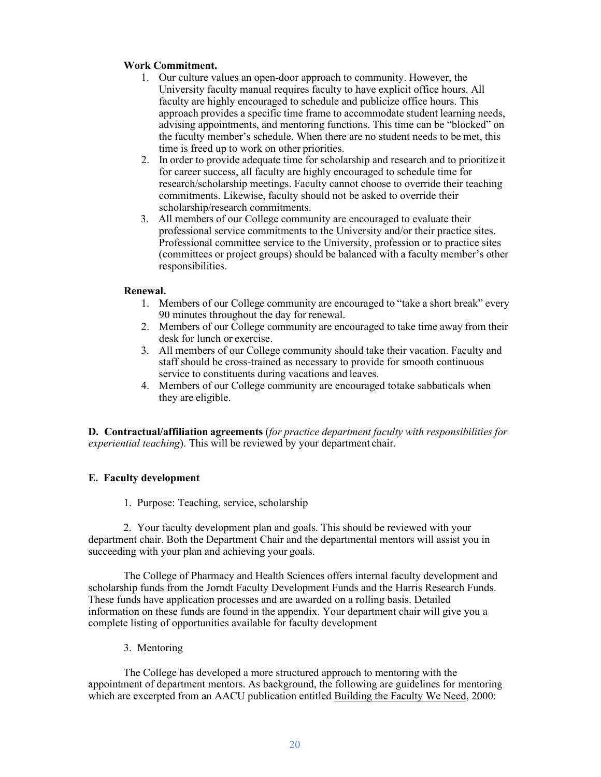# **Work Commitment.**

- 1. Our culture values an open-door approach to community. However, the University faculty manual requires faculty to have explicit office hours. All faculty are highly encouraged to schedule and publicize office hours. This approach provides a specific time frame to accommodate student learning needs, advising appointments, and mentoring functions. This time can be "blocked" on the faculty member's schedule. When there are no student needs to be met, this time is freed up to work on other priorities.
- 2. In order to provide adequate time for scholarship and research and to prioritizeit for career success, all faculty are highly encouraged to schedule time for research/scholarship meetings. Faculty cannot choose to override their teaching commitments. Likewise, faculty should not be asked to override their scholarship/research commitments.
- 3. All members of our College community are encouraged to evaluate their professional service commitments to the University and/or their practice sites. Professional committee service to the University, profession or to practice sites (committees or project groups) should be balanced with a faculty member's other responsibilities.

# **Renewal.**

- 1. Members of our College community are encouraged to "take a short break" every 90 minutes throughout the day for renewal.
- 2. Members of our College community are encouraged to take time away from their desk for lunch or exercise.
- 3. All members of our College community should take their vacation. Faculty and staff should be cross-trained as necessary to provide for smooth continuous service to constituents during vacations and leaves.
- 4. Members of our College community are encouraged totake sabbaticals when they are eligible.

**D. Contractual/affiliation agreements** (*for practice department faculty with responsibilities for experiential teaching*). This will be reviewed by your department chair.

# **E. Faculty development**

1. Purpose: Teaching, service, scholarship

2. Your faculty development plan and goals. This should be reviewed with your department chair. Both the Department Chair and the departmental mentors will assist you in succeeding with your plan and achieving your goals.

The College of Pharmacy and Health Sciences offers internal faculty development and scholarship funds from the Jorndt Faculty Development Funds and the Harris Research Funds. These funds have application processes and are awarded on a rolling basis. Detailed information on these funds are found in the appendix. Your department chair will give you a complete listing of opportunities available for faculty development

3. Mentoring

The College has developed a more structured approach to mentoring with the appointment of department mentors. As background, the following are guidelines for mentoring which are excerpted from an AACU publication entitled Building the Faculty We Need, 2000: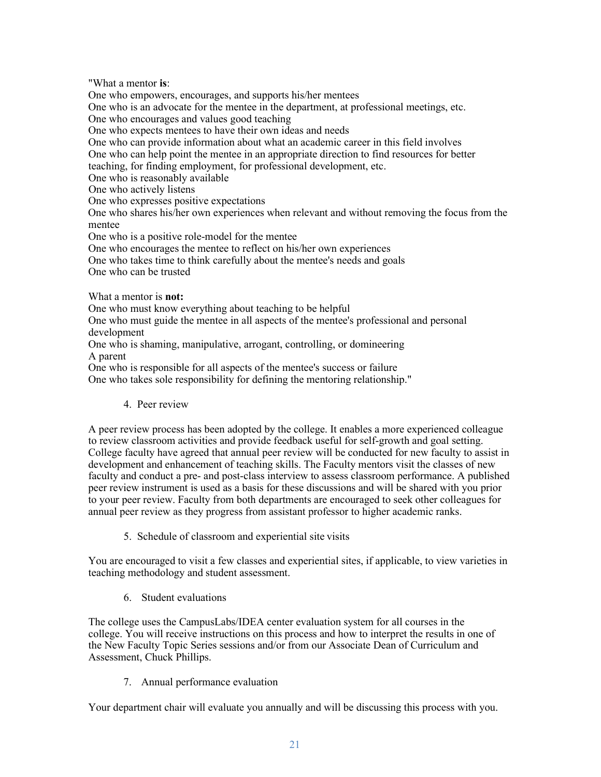"What a mentor **is**:

One who empowers, encourages, and supports his/her mentees One who is an advocate for the mentee in the department, at professional meetings, etc. One who encourages and values good teaching One who expects mentees to have their own ideas and needs One who can provide information about what an academic career in this field involves One who can help point the mentee in an appropriate direction to find resources for better teaching, for finding employment, for professional development, etc. One who is reasonably available One who actively listens One who expresses positive expectations One who shares his/her own experiences when relevant and without removing the focus from the mentee One who is a positive role-model for the mentee One who encourages the mentee to reflect on his/her own experiences One who takes time to think carefully about the mentee's needs and goals One who can be trusted What a mentor is **not:** One who must know everything about teaching to be helpful

One who must guide the mentee in all aspects of the mentee's professional and personal development

One who is shaming, manipulative, arrogant, controlling, or domineering A parent

One who is responsible for all aspects of the mentee's success or failure

One who takes sole responsibility for defining the mentoring relationship."

# 4. Peer review

A peer review process has been adopted by the college. It enables a more experienced colleague to review classroom activities and provide feedback useful for self-growth and goal setting. College faculty have agreed that annual peer review will be conducted for new faculty to assist in development and enhancement of teaching skills. The Faculty mentors visit the classes of new faculty and conduct a pre- and post-class interview to assess classroom performance. A published peer review instrument is used as a basis for these discussions and will be shared with you prior to your peer review. Faculty from both departments are encouraged to seek other colleagues for annual peer review as they progress from assistant professor to higher academic ranks.

5. Schedule of classroom and experiential site visits

You are encouraged to visit a few classes and experiential sites, if applicable, to view varieties in teaching methodology and student assessment.

6. Student evaluations

The college uses the CampusLabs/IDEA center evaluation system for all courses in the college. You will receive instructions on this process and how to interpret the results in one of the New Faculty Topic Series sessions and/or from our Associate Dean of Curriculum and Assessment, Chuck Phillips.

7. Annual performance evaluation

Your department chair will evaluate you annually and will be discussing this process with you.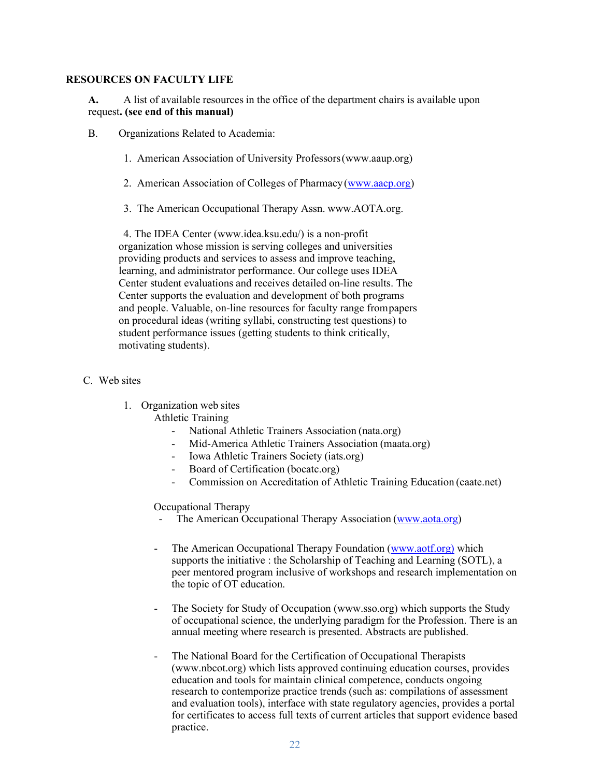#### **RESOURCES ON FACULTY LIFE**

**A.** A list of available resources in the office of the department chairs is available upon request**. (see end of this manual)**

- B. Organizations Related to Academia:
	- 1. American Association of University Professors(www.aaup.org)
	- 2. American Association of Colleges of Pharmacy[\(www.aacp.org\)](http://www.aacp.org/)
	- 3. The American Occupational Therapy Assn. [www.AOTA.org.](http://www.aota.org/)

4. The IDEA Center [\(www.idea.ksu.edu/\)](http://www.idea.ksu.edu/) is a non-profit organization whose mission is serving colleges and universities providing products and services to assess and improve teaching, learning, and administrator performance. Our college uses IDEA Center student evaluations and receives detailed on-line results. The Center supports the evaluation and development of both programs and people. Valuable, on-line resources for faculty range frompapers on procedural ideas (writing syllabi, constructing test questions) to student performance issues (getting students to think critically, motivating students).

# C. Web sites

1. Organization web sites

Athletic Training

- National Athletic Trainers Association (nata.org)
- Mid-America Athletic Trainers Association (maata.org)
- Iowa Athletic Trainers Society (iats.org)
- Board of Certification (bocatc.org)
- Commission on Accreditation of Athletic Training Education (caate.net)

Occupational Therapy

- The American Occupational Therapy Association [\(www.aota.org\)](http://www.aota.org/)
- The American Occupational Therapy Foundation (www.aotf.org) which supports the initiative : the Scholarship of Teaching and Learning (SOTL), a peer mentored program inclusive of workshops and research implementation on the topic of OT education.
- The Society for Study of Occupation [\(www.sso.org\)](http://www.sso.org/) which supports the Study of occupational science, the underlying paradigm for the Profession. There is an annual meeting where research is presented. Abstracts are published.
- The National Board for the Certification of Occupational Therapists [\(www.nbcot.org\)](http://www.nbcot.org/) which lists approved continuing education courses, provides education and tools for maintain clinical competence, conducts ongoing research to contemporize practice trends (such as: compilations of assessment and evaluation tools), interface with state regulatory agencies, provides a portal for certificates to access full texts of current articles that support evidence based practice.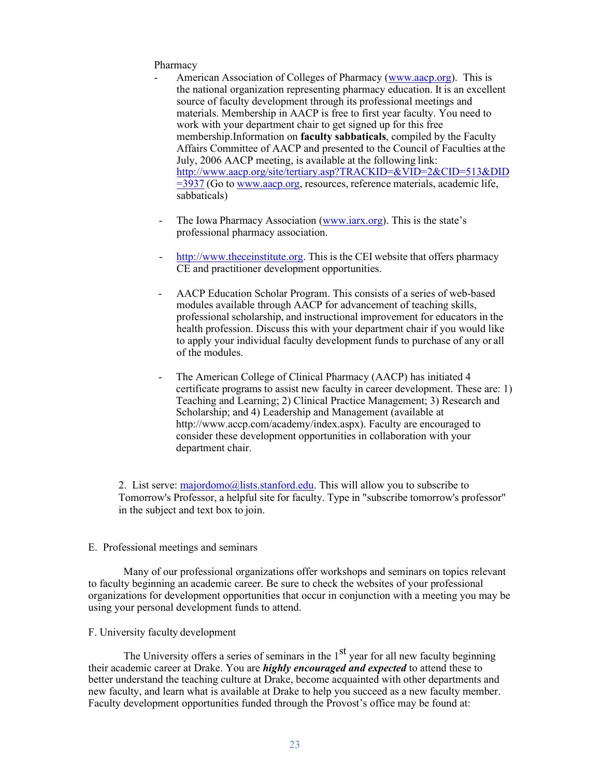#### Pharmacy

- American Association of Colleges of Pharmacy [\(www.aacp.org\)](http://www.aacp.org/). This is the national organization representing pharmacy education. It is an excellent source of faculty development through its professional meetings and materials. Membership in AACP is free to first year faculty. You need to work with your department chair to get signed up for this free membership.Information on **faculty sabbaticals**, compiled by the Faculty Affairs Committee of AACP and presented to the Council of Faculties atthe July, 2006 AACP meeting, is available at the following link: [http://www.aacp.org/site/tertiary.asp?TRACKID=&VID=2&CID=513&DID](http://www.aacp.org/site/tertiary.asp?TRACKID&%3BVID=2&%3BCID=513&%3BDID=3937) [=3937](http://www.aacp.org/site/tertiary.asp?TRACKID&%3BVID=2&%3BCID=513&%3BDID=3937) (Go to [www.aacp.org,](http://www.aacp.org/) resources, reference materials, academic life, sabbaticals)
- The Iowa Pharmacy Association [\(www.iarx.org\)](http://www.iarx.org/). This is the state's professional pharmacy association.
- [http://www.theceinstitute.org.](http://www.theceinstitute.org/) This is the CEI website that offers pharmacy CE and practitioner development opportunities.
- AACP Education Scholar Program. This consists of a series of web-based modules available through AACP for advancement of teaching skills, professional scholarship, and instructional improvement for educators in the health profession. Discuss this with your department chair if you would like to apply your individual faculty development funds to purchase of any or all of the modules.
- The American College of Clinical Pharmacy (AACP) has initiated 4 certificate programs to assist new faculty in career development. These are: 1) Teaching and Learning; 2) Clinical Practice Management; 3) Research and Scholarship; and 4) Leadership and Management (available at [http://www.accp.com/academy/index.aspx\).](http://www.accp.com/academy/index.aspx)) Faculty are encouraged to consider these development opportunities in collaboration with your department chair.

2. List serve:  $\frac{majordom \odot \odot \ddot{\odot} s}{\text{majordom} \odot \odot \ddot{\odot} s}$ . This will allow you to subscribe to Tomorrow's Professor, a helpful site for faculty. Type in "subscribe tomorrow's professor" in the subject and text box to join.

#### E. Professional meetings and seminars

Many of our professional organizations offer workshops and seminars on topics relevant to faculty beginning an academic career. Be sure to check the websites of your professional organizations for development opportunities that occur in conjunction with a meeting you may be using your personal development funds to attend.

#### F. University faculty development

The University offers a series of seminars in the  $1<sup>st</sup>$  year for all new faculty beginning their academic career at Drake. You are *highly encouraged and expected* to attend these to better understand the teaching culture at Drake, become acquainted with other departments and new faculty, and learn what is available at Drake to help you succeed as a new faculty member. Faculty development opportunities funded through the Provost's office may be found at: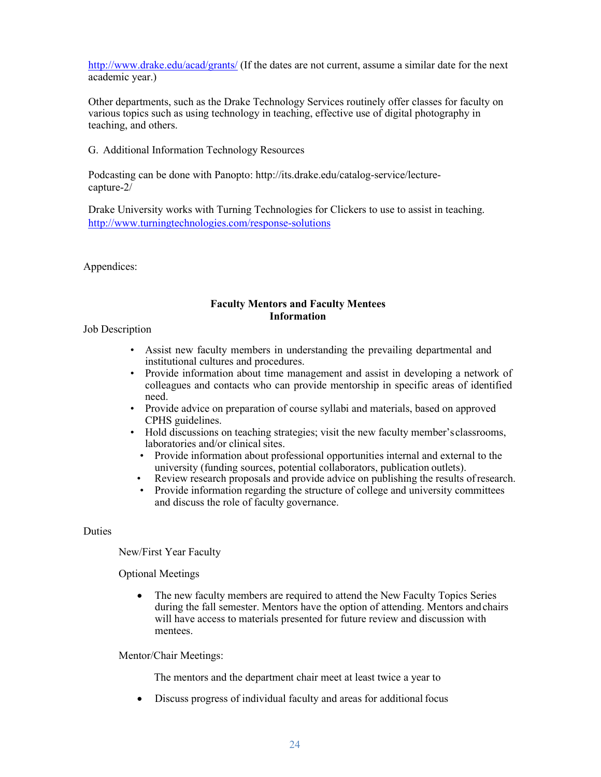<http://www.drake.edu/acad/grants/> (If the dates are not current, assume a similar date for the next academic year.)

Other departments, such as the Drake Technology Services routinely offer classes for faculty on various topics such as using technology in teaching, effective use of digital photography in teaching, and others.

G. Additional Information Technology Resources

Podcasting can be done with Panopto: [http://its.drake.edu/catalog-service/lecture](http://its.drake.edu/catalog-service/lecture-)capture-2/

Drake University works with Turning Technologies for Clickers to use to assist in teaching. <http://www.turningtechnologies.com/response-solutions>

Appendices:

#### **Faculty Mentors and Faculty Mentees Information**

Job Description

- Assist new faculty members in understanding the prevailing departmental and institutional cultures and procedures.
- Provide information about time management and assist in developing a network of colleagues and contacts who can provide mentorship in specific areas of identified need.
- Provide advice on preparation of course syllabi and materials, based on approved CPHS guidelines.
- Hold discussions on teaching strategies; visit the new faculty member'sclassrooms, laboratories and/or clinical sites.
	- Provide information about professional opportunities internal and external to the university (funding sources, potential collaborators, publication outlets).
- Review research proposals and provide advice on publishing the results ofresearch.
- Provide information regarding the structure of college and university committees and discuss the role of faculty governance.

**Duties** 

New/First Year Faculty

Optional Meetings

• The new faculty members are required to attend the New Faculty Topics Series during the fall semester. Mentors have the option of attending. Mentors and chairs will have access to materials presented for future review and discussion with mentees.

Mentor/Chair Meetings:

The mentors and the department chair meet at least twice a year to

• Discuss progress of individual faculty and areas for additional focus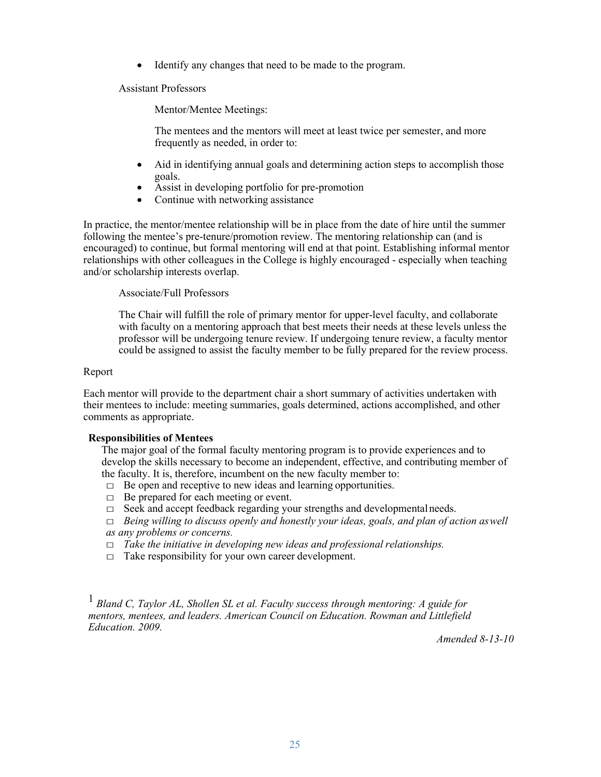• Identify any changes that need to be made to the program.

Assistant Professors

Mentor/Mentee Meetings:

The mentees and the mentors will meet at least twice per semester, and more frequently as needed, in order to:

- Aid in identifying annual goals and determining action steps to accomplish those goals.
- Assist in developing portfolio for pre-promotion
- Continue with networking assistance

In practice, the mentor/mentee relationship will be in place from the date of hire until the summer following the mentee's pre-tenure/promotion review. The mentoring relationship can (and is encouraged) to continue, but formal mentoring will end at that point. Establishing informal mentor relationships with other colleagues in the College is highly encouraged - especially when teaching and/or scholarship interests overlap.

Associate/Full Professors

The Chair will fulfill the role of primary mentor for upper-level faculty, and collaborate with faculty on a mentoring approach that best meets their needs at these levels unless the professor will be undergoing tenure review. If undergoing tenure review, a faculty mentor could be assigned to assist the faculty member to be fully prepared for the review process.

#### Report

Each mentor will provide to the department chair a short summary of activities undertaken with their mentees to include: meeting summaries, goals determined, actions accomplished, and other comments as appropriate.

# **Responsibilities of Mentees**

The major goal of the formal faculty mentoring program is to provide experiences and to develop the skills necessary to become an independent, effective, and contributing member of the faculty. It is, therefore, incumbent on the new faculty member to:

- $\Box$  Be open and receptive to new ideas and learning opportunities.
- $\Box$  Be prepared for each meeting or event.
- $\Box$  Seek and accept feedback regarding your strengths and developmental needs.
- $\Box$  *Being willing to discuss openly and honestly your ideas, goals, and plan of action aswell as any problems or concerns.*
- □ *Take the initiative in developing new ideas and professional relationships.*
- $\Box$  Take responsibility for your own career development.

<sup>1</sup> Bland C. Tavlor AL. Shollen SL et al. Faculty success through mentoring: A guide for *mentors, mentees, and leaders. American Council on Education. Rowman and Littlefield Education. 2009.*

*Amended 8-13-10*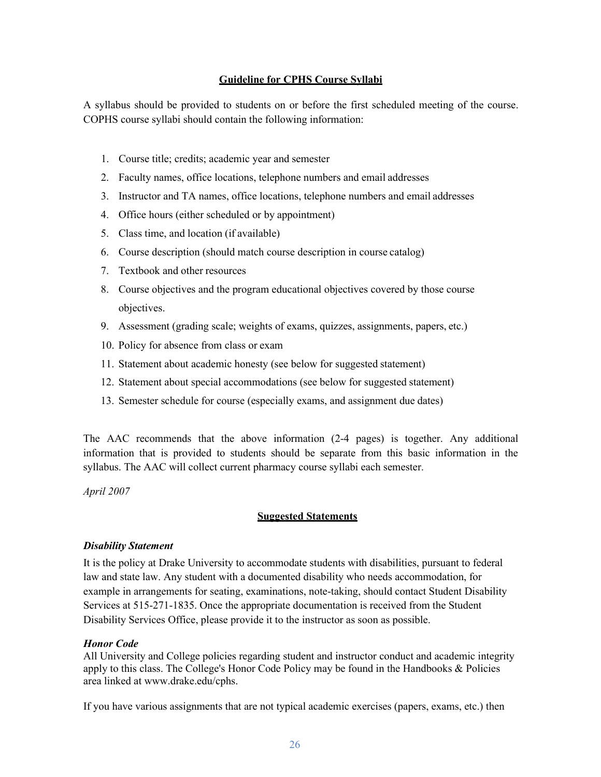# **Guideline for CPHS Course Syllabi**

A syllabus should be provided to students on or before the first scheduled meeting of the course. COPHS course syllabi should contain the following information:

- 1. Course title; credits; academic year and semester
- 2. Faculty names, office locations, telephone numbers and email addresses
- 3. Instructor and TA names, office locations, telephone numbers and email addresses
- 4. Office hours (either scheduled or by appointment)
- 5. Class time, and location (if available)
- 6. Course description (should match course description in course catalog)
- 7. Textbook and other resources
- 8. Course objectives and the program educational objectives covered by those course objectives.
- 9. Assessment (grading scale; weights of exams, quizzes, assignments, papers, etc.)
- 10. Policy for absence from class or exam
- 11. Statement about academic honesty (see below for suggested statement)
- 12. Statement about special accommodations (see below for suggested statement)
- 13. Semester schedule for course (especially exams, and assignment due dates)

The AAC recommends that the above information (2-4 pages) is together. Any additional information that is provided to students should be separate from this basic information in the syllabus. The AAC will collect current pharmacy course syllabi each semester.

*April 2007*

#### **Suggested Statements**

#### *Disability Statement*

It is the policy at Drake University to accommodate students with disabilities, pursuant to federal law and state law. Any student with a documented disability who needs accommodation, for example in arrangements for seating, examinations, note-taking, should contact Student Disability Services at 515-271-1835. Once the appropriate documentation is received from the Student Disability Services Office, please provide it to the instructor as soon as possible.

#### *Honor Code*

All University and College policies regarding student and instructor conduct and academic integrity apply to this class. The College's Honor Code Policy may be found in the Handbooks  $\&$  Policies area linked at [www.drake.edu/cphs.](http://www.drake.edu/cphs)

If you have various assignments that are not typical academic exercises (papers, exams, etc.) then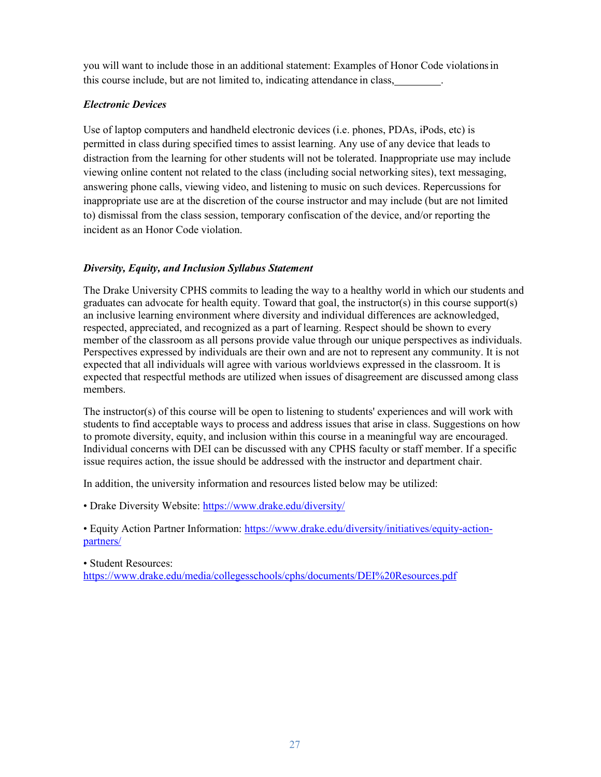you will want to include those in an additional statement: Examples of Honor Code violationsin this course include, but are not limited to, indicating attendance in class, .

# *Electronic Devices*

Use of laptop computers and handheld electronic devices (i.e. phones, PDAs, iPods, etc) is permitted in class during specified times to assist learning. Any use of any device that leads to distraction from the learning for other students will not be tolerated. Inappropriate use may include viewing online content not related to the class (including social networking sites), text messaging, answering phone calls, viewing video, and listening to music on such devices. Repercussions for inappropriate use are at the discretion of the course instructor and may include (but are not limited to) dismissal from the class session, temporary confiscation of the device, and/or reporting the incident as an Honor Code violation.

# *Diversity, Equity, and Inclusion Syllabus Statement*

The Drake University CPHS commits to leading the way to a healthy world in which our students and graduates can advocate for health equity. Toward that goal, the instructor(s) in this course support(s) an inclusive learning environment where diversity and individual differences are acknowledged, respected, appreciated, and recognized as a part of learning. Respect should be shown to every member of the classroom as all persons provide value through our unique perspectives as individuals. Perspectives expressed by individuals are their own and are not to represent any community. It is not expected that all individuals will agree with various worldviews expressed in the classroom. It is expected that respectful methods are utilized when issues of disagreement are discussed among class members.

The instructor(s) of this course will be open to listening to students' experiences and will work with students to find acceptable ways to process and address issues that arise in class. Suggestions on how to promote diversity, equity, and inclusion within this course in a meaningful way are encouraged. Individual concerns with DEI can be discussed with any CPHS faculty or staff member. If a specific issue requires action, the issue should be addressed with the instructor and department chair.

In addition, the university information and resources listed below may be utilized:

• Drake Diversity Website[: https://www.drake.edu/diversity/](https://www.drake.edu/diversity/)

• Equity Action Partner Information: [https://www.drake.edu/diversity/initiatives/equity-action](https://www.drake.edu/diversity/initiatives/equity-action-partners/)[partners/](https://www.drake.edu/diversity/initiatives/equity-action-partners/)

• Student Resources:

<https://www.drake.edu/media/collegesschools/cphs/documents/DEI%20Resources.pdf>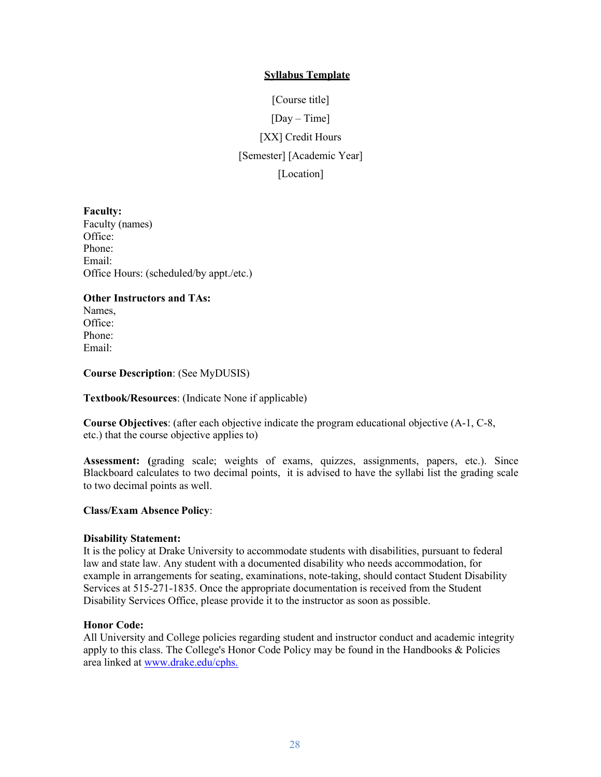# **Syllabus Template**

[Course title] [Day – Time] [XX] Credit Hours [Semester] [Academic Year] [Location]

**Faculty:** Faculty (names) Office: Phone: Email: Office Hours: (scheduled/by appt./etc.)

# **Other Instructors and TAs:**

Names, Office: Phone: Email:

**Course Description**: (See MyDUSIS)

**Textbook/Resources**: (Indicate None if applicable)

**Course Objectives**: (after each objective indicate the program educational objective (A-1, C-8, etc.) that the course objective applies to)

**Assessment: (**grading scale; weights of exams, quizzes, assignments, papers, etc.). Since Blackboard calculates to two decimal points, it is advised to have the syllabi list the grading scale to two decimal points as well.

#### **Class/Exam Absence Policy**:

#### **Disability Statement:**

It is the policy at Drake University to accommodate students with disabilities, pursuant to federal law and state law. Any student with a documented disability who needs accommodation, for example in arrangements for seating, examinations, note-taking, should contact Student Disability Services at 515-271-1835. Once the appropriate documentation is received from the Student Disability Services Office, please provide it to the instructor as soon as possible.

#### **Honor Code:**

All University and College policies regarding student and instructor conduct and academic integrity apply to this class. The College's Honor Code Policy may be found in the Handbooks & Policies area linked at [www.drake.edu/cphs.](http://www.drake.edu/cphs.%20%20.)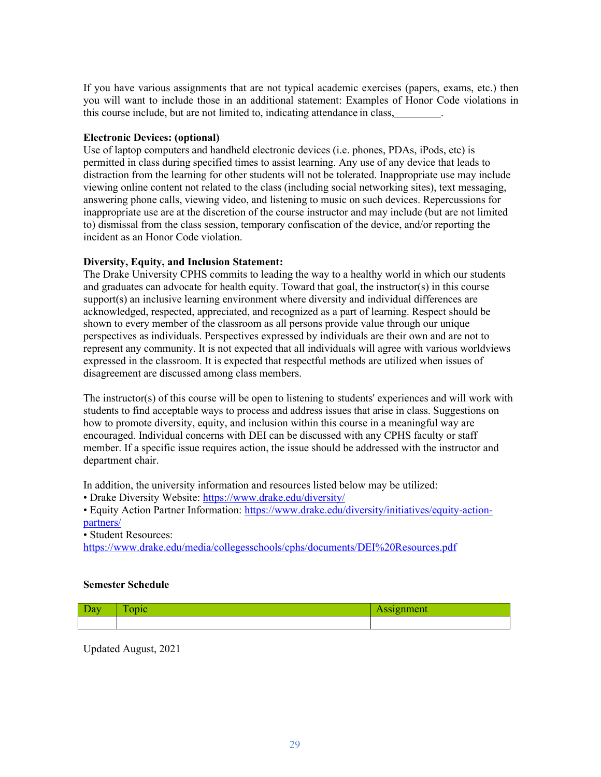If you have various assignments that are not typical academic exercises (papers, exams, etc.) then you will want to include those in an additional statement: Examples of Honor Code violations in this course include, but are not limited to, indicating attendance in class, .

# **Electronic Devices: (optional)**

Use of laptop computers and handheld electronic devices (i.e. phones, PDAs, iPods, etc) is permitted in class during specified times to assist learning. Any use of any device that leads to distraction from the learning for other students will not be tolerated. Inappropriate use may include viewing online content not related to the class (including social networking sites), text messaging, answering phone calls, viewing video, and listening to music on such devices. Repercussions for inappropriate use are at the discretion of the course instructor and may include (but are not limited to) dismissal from the class session, temporary confiscation of the device, and/or reporting the incident as an Honor Code violation.

# **Diversity, Equity, and Inclusion Statement:**

The Drake University CPHS commits to leading the way to a healthy world in which our students and graduates can advocate for health equity. Toward that goal, the instructor(s) in this course support(s) an inclusive learning environment where diversity and individual differences are acknowledged, respected, appreciated, and recognized as a part of learning. Respect should be shown to every member of the classroom as all persons provide value through our unique perspectives as individuals. Perspectives expressed by individuals are their own and are not to represent any community. It is not expected that all individuals will agree with various worldviews expressed in the classroom. It is expected that respectful methods are utilized when issues of disagreement are discussed among class members.

The instructor(s) of this course will be open to listening to students' experiences and will work with students to find acceptable ways to process and address issues that arise in class. Suggestions on how to promote diversity, equity, and inclusion within this course in a meaningful way are encouraged. Individual concerns with DEI can be discussed with any CPHS faculty or staff member. If a specific issue requires action, the issue should be addressed with the instructor and department chair.

In addition, the university information and resources listed below may be utilized:

• Drake Diversity Website[: https://www.drake.edu/diversity/](https://www.drake.edu/diversity/)

• Equity Action Partner Information: [https://www.drake.edu/diversity/initiatives/equity-action](https://www.drake.edu/diversity/initiatives/equity-action-partners/)[partners/](https://www.drake.edu/diversity/initiatives/equity-action-partners/)

• Student Resources:

<https://www.drake.edu/media/collegesschools/cphs/documents/DEI%20Resources.pdf>

# **Semester Schedule**

| - |  |
|---|--|
|   |  |

Updated August, 2021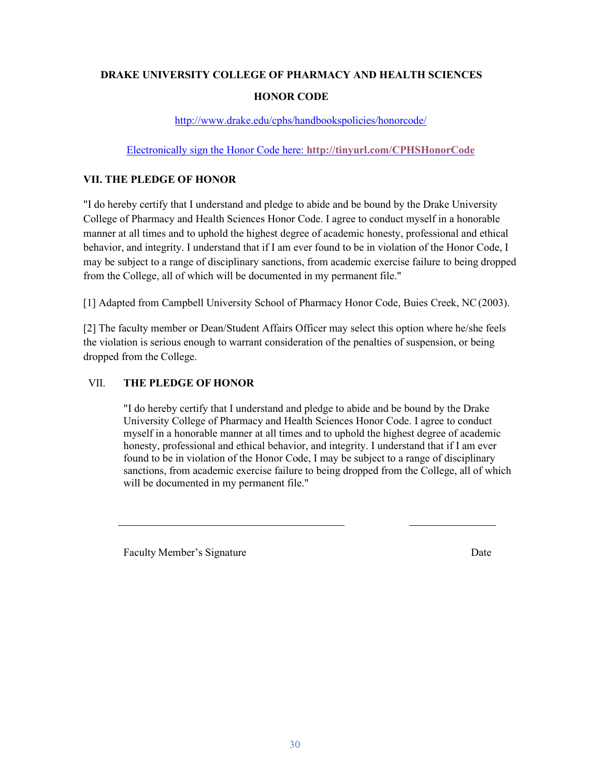# **DRAKE UNIVERSITY COLLEGE OF PHARMACY AND HEALTH SCIENCES HONOR CODE**

<http://www.drake.edu/cphs/handbookspolicies/honorcode/>

# Electronically sign the Honor Code here: **[http://tinyurl.com/CPHSHonorCode](https://nam03.safelinks.protection.outlook.com/?url=http%3A%2F%2Ftinyurl.com%2FCPHSHonorCode&data=02%7C01%7Csheena.bahls%40drake.edu%7C636c590e17264e21a26e08d81b8424a5%7C6f028129009c4b33b633bbfc58bbd960%7C0%7C0%7C637289601651452579&sdata=n3BMZeRQzmAcimXYXjWMXH2fIsfvdfYghS%2Fj8VZCKno%3D&reserved=0)**

# **VII. THE PLEDGE OF HONOR**

"I do hereby certify that I understand and pledge to abide and be bound by the Drake University College of Pharmacy and Health Sciences Honor Code. I agree to conduct myself in a honorable manner at all times and to uphold the highest degree of academic honesty, professional and ethical behavior, and integrity. I understand that if I am ever found to be in violation of the Honor Code, I may be subject to a range of disciplinary sanctions, from academic exercise failure to being dropped from the College, all of which will be documented in my permanent file."

[1] Adapted from Campbell University School of Pharmacy Honor Code, Buies Creek, NC(2003).

[2] The faculty member or Dean/Student Affairs Officer may select this option where he/she feels the violation is serious enough to warrant consideration of the penalties of suspension, or being dropped from the College.

# VII. **THE PLEDGE OF HONOR**

"I do hereby certify that I understand and pledge to abide and be bound by the Drake University College of Pharmacy and Health Sciences Honor Code. I agree to conduct myself in a honorable manner at all times and to uphold the highest degree of academic honesty, professional and ethical behavior, and integrity. I understand that if I am ever found to be in violation of the Honor Code, I may be subject to a range of disciplinary sanctions, from academic exercise failure to being dropped from the College, all of which will be documented in my permanent file."

Faculty Member's Signature Date Date Date Date